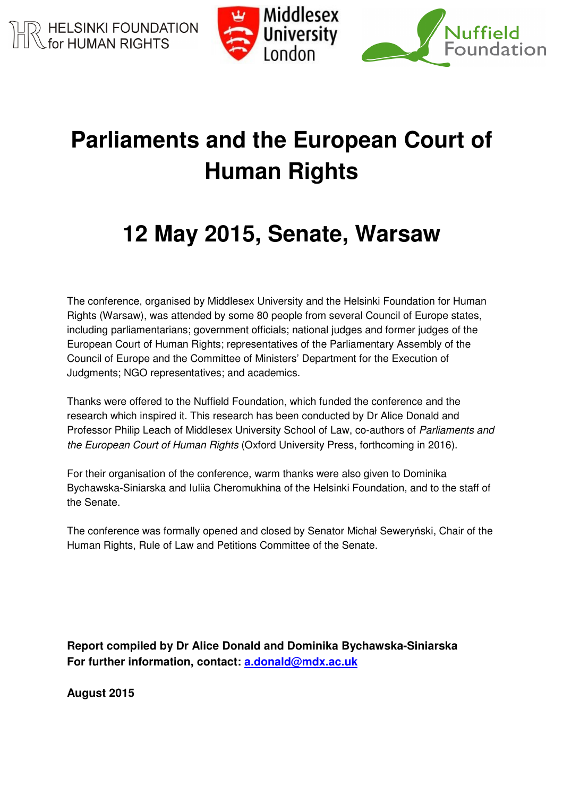



# **Parliaments and the European Court of Human Rights**

# **12 May 2015, Senate, Warsaw**

The conference, organised by Middlesex University and the Helsinki Foundation for Human Rights (Warsaw), was attended by some 80 people from several Council of Europe states, including parliamentarians; government officials; national judges and former judges of the European Court of Human Rights; representatives of the Parliamentary Assembly of the Council of Europe and the Committee of Ministers' Department for the Execution of Judgments; NGO representatives; and academics.

Thanks were offered to the Nuffield Foundation, which funded the conference and the research which inspired it. This research has been conducted by Dr Alice Donald and Professor Philip Leach of Middlesex University School of Law, co-authors of Parliaments and the European Court of Human Rights (Oxford University Press, forthcoming in 2016).

For their organisation of the conference, warm thanks were also given to Dominika Bychawska-Siniarska and Iuliia Cheromukhina of the Helsinki Foundation, and to the staff of the Senate.

The conference was formally opened and closed by Senator Michał Seweryński, Chair of the Human Rights, Rule of Law and Petitions Committee of the Senate.

**Report compiled by Dr Alice Donald and Dominika Bychawska-Siniarska For further information, contact: a.donald@mdx.ac.uk**

**August 2015**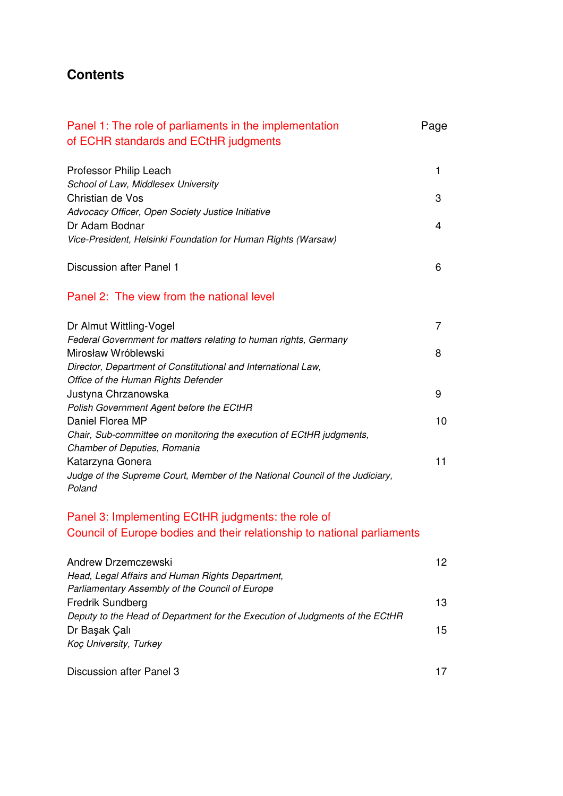# **Contents**

| Panel 1: The role of parliaments in the implementation<br>of ECHR standards and ECtHR judgments  | Page |
|--------------------------------------------------------------------------------------------------|------|
| Professor Philip Leach<br>School of Law, Middlesex University                                    | 1    |
| Christian de Vos                                                                                 | 3    |
| Advocacy Officer, Open Society Justice Initiative                                                |      |
| Dr Adam Bodnar<br>Vice-President, Helsinki Foundation for Human Rights (Warsaw)                  | 4    |
| Discussion after Panel 1                                                                         | 6    |
| Panel 2: The view from the national level                                                        |      |
| Dr Almut Wittling-Vogel                                                                          | 7    |
| Federal Government for matters relating to human rights, Germany                                 |      |
| Mirosław Wróblewski<br>Director, Department of Constitutional and International Law,             | 8    |
| Office of the Human Rights Defender                                                              |      |
| Justyna Chrzanowska                                                                              | 9    |
| Polish Government Agent before the ECtHR<br>Daniel Florea MP                                     | 10   |
| Chair, Sub-committee on monitoring the execution of ECtHR judgments,                             |      |
| Chamber of Deputies, Romania                                                                     |      |
| Katarzyna Gonera                                                                                 | 11   |
| Judge of the Supreme Court, Member of the National Council of the Judiciary,<br>Poland           |      |
| Panel 3: Implementing ECtHR judgments: the role of                                               |      |
| Council of Europe bodies and their relationship to national parliaments                          |      |
| <b>Andrew Drzemczewski</b>                                                                       | 12   |
| Head, Legal Affairs and Human Rights Department,                                                 |      |
| Parliamentary Assembly of the Council of Europe                                                  | 13   |
| Fredrik Sundberg<br>Deputy to the Head of Department for the Execution of Judgments of the ECtHR |      |
| Dr Başak Çalı                                                                                    | 15   |
| Koç University, Turkey                                                                           |      |
| Discussion after Panel 3                                                                         | 17   |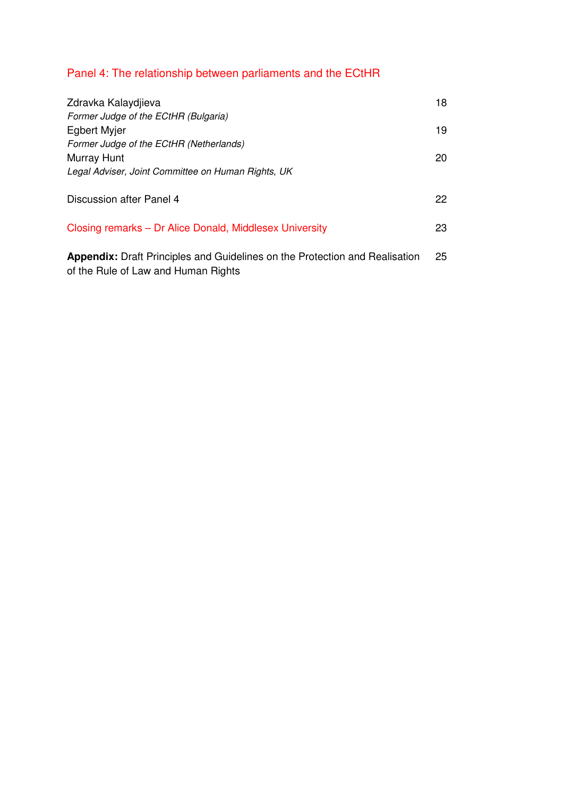# Panel 4: The relationship between parliaments and the ECtHR

| Zdravka Kalaydjieva<br>Former Judge of the ECtHR (Bulgaria)                                                               | 18 |
|---------------------------------------------------------------------------------------------------------------------------|----|
| <b>Egbert Myjer</b><br>Former Judge of the ECtHR (Netherlands)                                                            | 19 |
| Murray Hunt<br>Legal Adviser, Joint Committee on Human Rights, UK                                                         | 20 |
| Discussion after Panel 4                                                                                                  | 22 |
| Closing remarks – Dr Alice Donald, Middlesex University                                                                   | 23 |
| <b>Appendix:</b> Draft Principles and Guidelines on the Protection and Realisation<br>of the Rule of Law and Human Rights | 25 |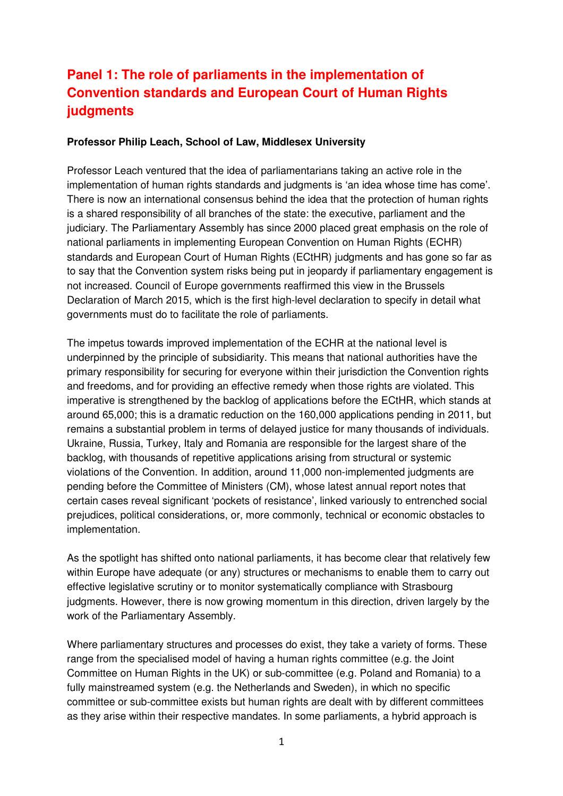# **Panel 1: The role of parliaments in the implementation of Convention standards and European Court of Human Rights judgments**

#### **Professor Philip Leach, School of Law, Middlesex University**

Professor Leach ventured that the idea of parliamentarians taking an active role in the implementation of human rights standards and judgments is 'an idea whose time has come'. There is now an international consensus behind the idea that the protection of human rights is a shared responsibility of all branches of the state: the executive, parliament and the judiciary. The Parliamentary Assembly has since 2000 placed great emphasis on the role of national parliaments in implementing European Convention on Human Rights (ECHR) standards and European Court of Human Rights (ECtHR) judgments and has gone so far as to say that the Convention system risks being put in jeopardy if parliamentary engagement is not increased. Council of Europe governments reaffirmed this view in the Brussels Declaration of March 2015, which is the first high-level declaration to specify in detail what governments must do to facilitate the role of parliaments.

The impetus towards improved implementation of the ECHR at the national level is underpinned by the principle of subsidiarity. This means that national authorities have the primary responsibility for securing for everyone within their jurisdiction the Convention rights and freedoms, and for providing an effective remedy when those rights are violated. This imperative is strengthened by the backlog of applications before the ECtHR, which stands at around 65,000; this is a dramatic reduction on the 160,000 applications pending in 2011, but remains a substantial problem in terms of delayed justice for many thousands of individuals. Ukraine, Russia, Turkey, Italy and Romania are responsible for the largest share of the backlog, with thousands of repetitive applications arising from structural or systemic violations of the Convention. In addition, around 11,000 non-implemented judgments are pending before the Committee of Ministers (CM), whose latest annual report notes that certain cases reveal significant 'pockets of resistance', linked variously to entrenched social prejudices, political considerations, or, more commonly, technical or economic obstacles to implementation.

As the spotlight has shifted onto national parliaments, it has become clear that relatively few within Europe have adequate (or any) structures or mechanisms to enable them to carry out effective legislative scrutiny or to monitor systematically compliance with Strasbourg judgments. However, there is now growing momentum in this direction, driven largely by the work of the Parliamentary Assembly.

Where parliamentary structures and processes do exist, they take a variety of forms. These range from the specialised model of having a human rights committee (e.g. the Joint Committee on Human Rights in the UK) or sub-committee (e.g. Poland and Romania) to a fully mainstreamed system (e.g. the Netherlands and Sweden), in which no specific committee or sub-committee exists but human rights are dealt with by different committees as they arise within their respective mandates. In some parliaments, a hybrid approach is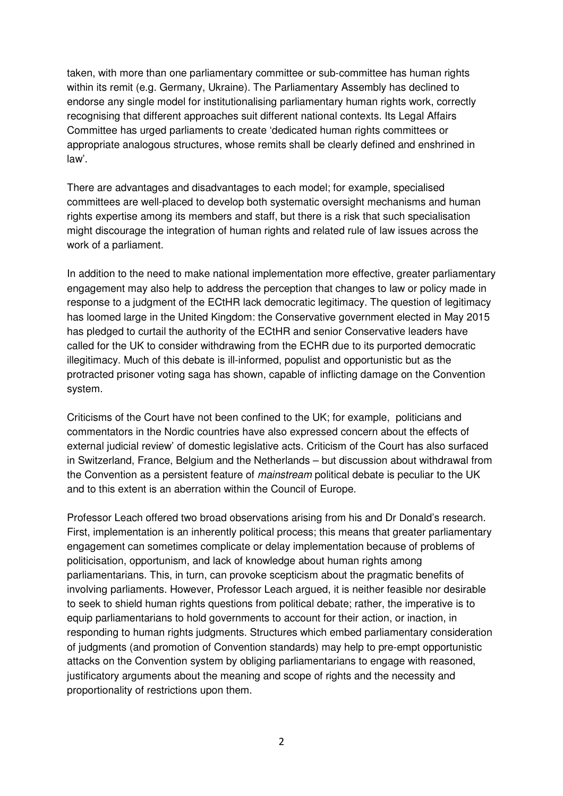taken, with more than one parliamentary committee or sub-committee has human rights within its remit (e.g. Germany, Ukraine). The Parliamentary Assembly has declined to endorse any single model for institutionalising parliamentary human rights work, correctly recognising that different approaches suit different national contexts. Its Legal Affairs Committee has urged parliaments to create 'dedicated human rights committees or appropriate analogous structures, whose remits shall be clearly defined and enshrined in law'.

There are advantages and disadvantages to each model; for example, specialised committees are well-placed to develop both systematic oversight mechanisms and human rights expertise among its members and staff, but there is a risk that such specialisation might discourage the integration of human rights and related rule of law issues across the work of a parliament.

In addition to the need to make national implementation more effective, greater parliamentary engagement may also help to address the perception that changes to law or policy made in response to a judgment of the ECtHR lack democratic legitimacy. The question of legitimacy has loomed large in the United Kingdom: the Conservative government elected in May 2015 has pledged to curtail the authority of the ECtHR and senior Conservative leaders have called for the UK to consider withdrawing from the ECHR due to its purported democratic illegitimacy. Much of this debate is ill-informed, populist and opportunistic but as the protracted prisoner voting saga has shown, capable of inflicting damage on the Convention system.

Criticisms of the Court have not been confined to the UK; for example, politicians and commentators in the Nordic countries have also expressed concern about the effects of external judicial review' of domestic legislative acts. Criticism of the Court has also surfaced in Switzerland, France, Belgium and the Netherlands – but discussion about withdrawal from the Convention as a persistent feature of mainstream political debate is peculiar to the UK and to this extent is an aberration within the Council of Europe.

Professor Leach offered two broad observations arising from his and Dr Donald's research. First, implementation is an inherently political process; this means that greater parliamentary engagement can sometimes complicate or delay implementation because of problems of politicisation, opportunism, and lack of knowledge about human rights among parliamentarians. This, in turn, can provoke scepticism about the pragmatic benefits of involving parliaments. However, Professor Leach argued, it is neither feasible nor desirable to seek to shield human rights questions from political debate; rather, the imperative is to equip parliamentarians to hold governments to account for their action, or inaction, in responding to human rights judgments. Structures which embed parliamentary consideration of judgments (and promotion of Convention standards) may help to pre-empt opportunistic attacks on the Convention system by obliging parliamentarians to engage with reasoned, justificatory arguments about the meaning and scope of rights and the necessity and proportionality of restrictions upon them.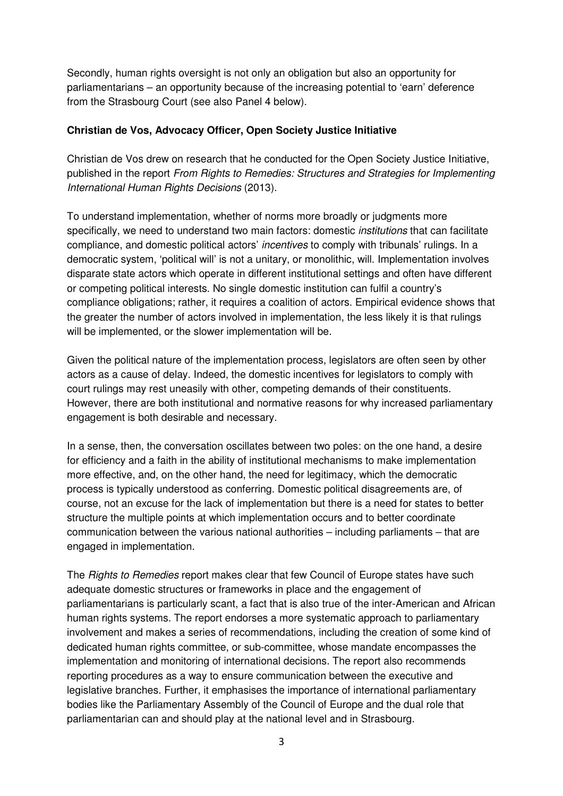Secondly, human rights oversight is not only an obligation but also an opportunity for parliamentarians – an opportunity because of the increasing potential to 'earn' deference from the Strasbourg Court (see also Panel 4 below).

#### **Christian de Vos, Advocacy Officer, Open Society Justice Initiative**

Christian de Vos drew on research that he conducted for the Open Society Justice Initiative, published in the report From Rights to Remedies: Structures and Strategies for Implementing International Human Rights Decisions (2013).

To understand implementation, whether of norms more broadly or judgments more specifically, we need to understand two main factors: domestic *institutions* that can facilitate compliance, and domestic political actors' incentives to comply with tribunals' rulings. In a democratic system, 'political will' is not a unitary, or monolithic, will. Implementation involves disparate state actors which operate in different institutional settings and often have different or competing political interests. No single domestic institution can fulfil a country's compliance obligations; rather, it requires a coalition of actors. Empirical evidence shows that the greater the number of actors involved in implementation, the less likely it is that rulings will be implemented, or the slower implementation will be.

Given the political nature of the implementation process, legislators are often seen by other actors as a cause of delay. Indeed, the domestic incentives for legislators to comply with court rulings may rest uneasily with other, competing demands of their constituents. However, there are both institutional and normative reasons for why increased parliamentary engagement is both desirable and necessary.

In a sense, then, the conversation oscillates between two poles: on the one hand, a desire for efficiency and a faith in the ability of institutional mechanisms to make implementation more effective, and, on the other hand, the need for legitimacy, which the democratic process is typically understood as conferring. Domestic political disagreements are, of course, not an excuse for the lack of implementation but there is a need for states to better structure the multiple points at which implementation occurs and to better coordinate communication between the various national authorities – including parliaments – that are engaged in implementation.

The Rights to Remedies report makes clear that few Council of Europe states have such adequate domestic structures or frameworks in place and the engagement of parliamentarians is particularly scant, a fact that is also true of the inter-American and African human rights systems. The report endorses a more systematic approach to parliamentary involvement and makes a series of recommendations, including the creation of some kind of dedicated human rights committee, or sub-committee, whose mandate encompasses the implementation and monitoring of international decisions. The report also recommends reporting procedures as a way to ensure communication between the executive and legislative branches. Further, it emphasises the importance of international parliamentary bodies like the Parliamentary Assembly of the Council of Europe and the dual role that parliamentarian can and should play at the national level and in Strasbourg.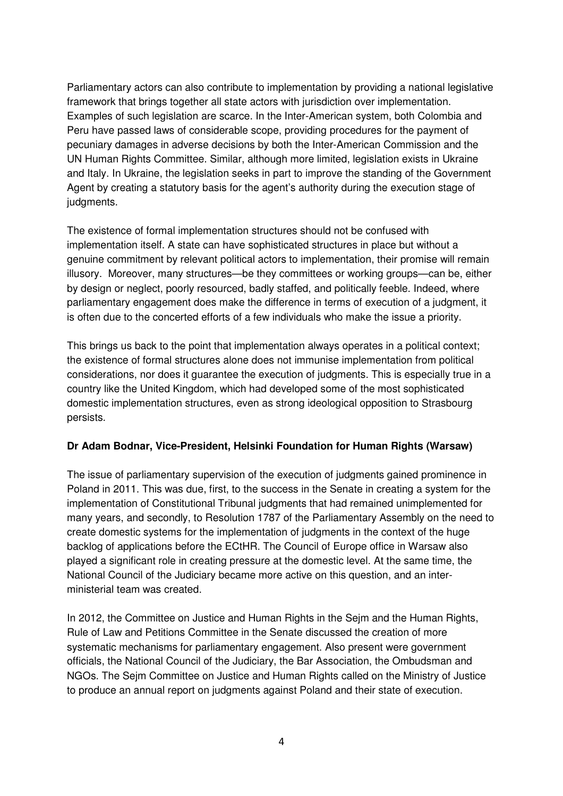Parliamentary actors can also contribute to implementation by providing a national legislative framework that brings together all state actors with jurisdiction over implementation. Examples of such legislation are scarce. In the Inter-American system, both Colombia and Peru have passed laws of considerable scope, providing procedures for the payment of pecuniary damages in adverse decisions by both the Inter-American Commission and the UN Human Rights Committee. Similar, although more limited, legislation exists in Ukraine and Italy. In Ukraine, the legislation seeks in part to improve the standing of the Government Agent by creating a statutory basis for the agent's authority during the execution stage of judaments.

The existence of formal implementation structures should not be confused with implementation itself. A state can have sophisticated structures in place but without a genuine commitment by relevant political actors to implementation, their promise will remain illusory. Moreover, many structures—be they committees or working groups—can be, either by design or neglect, poorly resourced, badly staffed, and politically feeble. Indeed, where parliamentary engagement does make the difference in terms of execution of a judgment, it is often due to the concerted efforts of a few individuals who make the issue a priority.

This brings us back to the point that implementation always operates in a political context; the existence of formal structures alone does not immunise implementation from political considerations, nor does it guarantee the execution of judgments. This is especially true in a country like the United Kingdom, which had developed some of the most sophisticated domestic implementation structures, even as strong ideological opposition to Strasbourg persists.

#### **Dr Adam Bodnar, Vice-President, Helsinki Foundation for Human Rights (Warsaw)**

The issue of parliamentary supervision of the execution of judgments gained prominence in Poland in 2011. This was due, first, to the success in the Senate in creating a system for the implementation of Constitutional Tribunal judgments that had remained unimplemented for many years, and secondly, to Resolution 1787 of the Parliamentary Assembly on the need to create domestic systems for the implementation of judgments in the context of the huge backlog of applications before the ECtHR. The Council of Europe office in Warsaw also played a significant role in creating pressure at the domestic level. At the same time, the National Council of the Judiciary became more active on this question, and an interministerial team was created.

In 2012, the Committee on Justice and Human Rights in the Sejm and the Human Rights, Rule of Law and Petitions Committee in the Senate discussed the creation of more systematic mechanisms for parliamentary engagement. Also present were government officials, the National Council of the Judiciary, the Bar Association, the Ombudsman and NGOs. The Sejm Committee on Justice and Human Rights called on the Ministry of Justice to produce an annual report on judgments against Poland and their state of execution.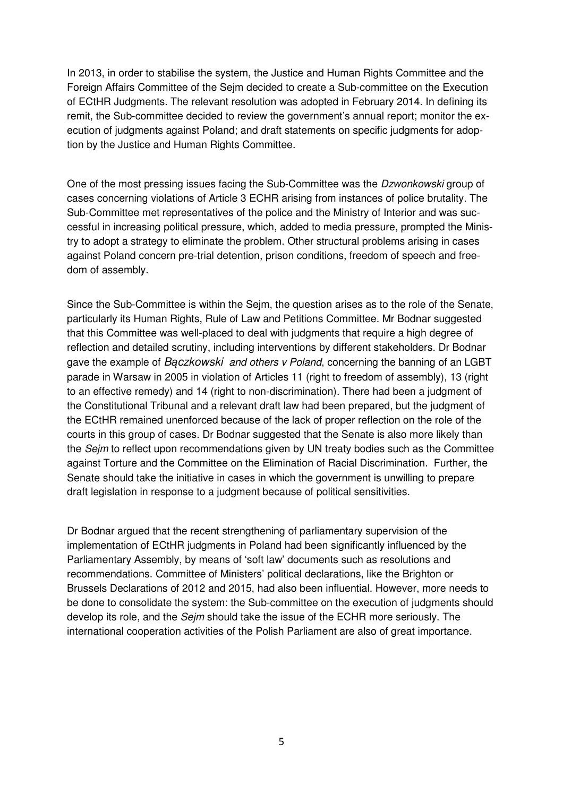In 2013, in order to stabilise the system, the Justice and Human Rights Committee and the Foreign Affairs Committee of the Sejm decided to create a Sub-committee on the Execution of ECtHR Judgments. The relevant resolution was adopted in February 2014. In defining its remit, the Sub-committee decided to review the government's annual report; monitor the execution of judgments against Poland; and draft statements on specific judgments for adoption by the Justice and Human Rights Committee.

One of the most pressing issues facing the Sub-Committee was the Dzwonkowski group of cases concerning violations of Article 3 ECHR arising from instances of police brutality. The Sub-Committee met representatives of the police and the Ministry of Interior and was successful in increasing political pressure, which, added to media pressure, prompted the Ministry to adopt a strategy to eliminate the problem. Other structural problems arising in cases against Poland concern pre-trial detention, prison conditions, freedom of speech and freedom of assembly.

Since the Sub-Committee is within the Sejm, the question arises as to the role of the Senate, particularly its Human Rights, Rule of Law and Petitions Committee. Mr Bodnar suggested that this Committee was well-placed to deal with judgments that require a high degree of reflection and detailed scrutiny, including interventions by different stakeholders. Dr Bodnar gave the example of Baczkowski and others v Poland, concerning the banning of an LGBT parade in Warsaw in 2005 in violation of Articles 11 (right to freedom of assembly), 13 (right to an effective remedy) and 14 (right to non-discrimination). There had been a judgment of the Constitutional Tribunal and a relevant draft law had been prepared, but the judgment of the ECtHR remained unenforced because of the lack of proper reflection on the role of the courts in this group of cases. Dr Bodnar suggested that the Senate is also more likely than the Sejm to reflect upon recommendations given by UN treaty bodies such as the Committee against Torture and the Committee on the Elimination of Racial Discrimination. Further, the Senate should take the initiative in cases in which the government is unwilling to prepare draft legislation in response to a judgment because of political sensitivities.

Dr Bodnar argued that the recent strengthening of parliamentary supervision of the implementation of ECtHR judgments in Poland had been significantly influenced by the Parliamentary Assembly, by means of 'soft law' documents such as resolutions and recommendations. Committee of Ministers' political declarations, like the Brighton or Brussels Declarations of 2012 and 2015, had also been influential. However, more needs to be done to consolidate the system: the Sub-committee on the execution of judgments should develop its role, and the *Sejm* should take the issue of the ECHR more seriously. The international cooperation activities of the Polish Parliament are also of great importance.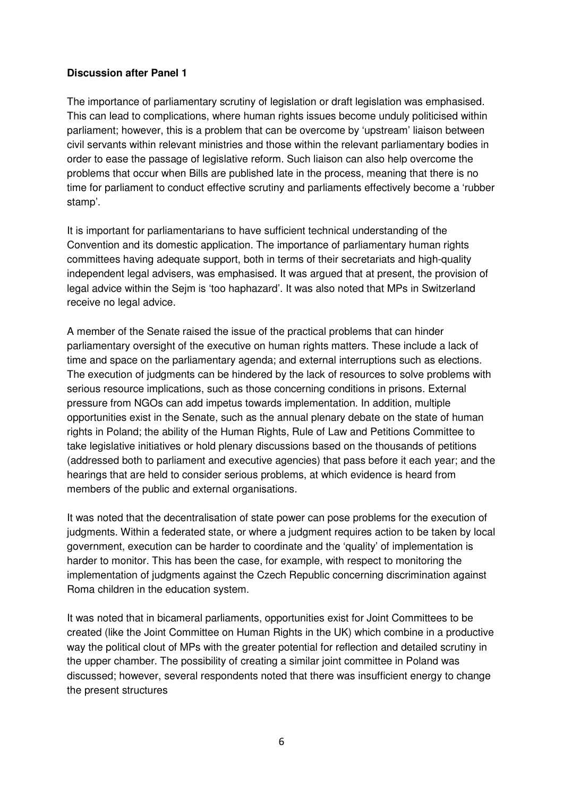#### **Discussion after Panel 1**

The importance of parliamentary scrutiny of legislation or draft legislation was emphasised. This can lead to complications, where human rights issues become unduly politicised within parliament; however, this is a problem that can be overcome by 'upstream' liaison between civil servants within relevant ministries and those within the relevant parliamentary bodies in order to ease the passage of legislative reform. Such liaison can also help overcome the problems that occur when Bills are published late in the process, meaning that there is no time for parliament to conduct effective scrutiny and parliaments effectively become a 'rubber stamp'.

It is important for parliamentarians to have sufficient technical understanding of the Convention and its domestic application. The importance of parliamentary human rights committees having adequate support, both in terms of their secretariats and high-quality independent legal advisers, was emphasised. It was argued that at present, the provision of legal advice within the Sejm is 'too haphazard'. It was also noted that MPs in Switzerland receive no legal advice.

A member of the Senate raised the issue of the practical problems that can hinder parliamentary oversight of the executive on human rights matters. These include a lack of time and space on the parliamentary agenda; and external interruptions such as elections. The execution of judgments can be hindered by the lack of resources to solve problems with serious resource implications, such as those concerning conditions in prisons. External pressure from NGOs can add impetus towards implementation. In addition, multiple opportunities exist in the Senate, such as the annual plenary debate on the state of human rights in Poland; the ability of the Human Rights, Rule of Law and Petitions Committee to take legislative initiatives or hold plenary discussions based on the thousands of petitions (addressed both to parliament and executive agencies) that pass before it each year; and the hearings that are held to consider serious problems, at which evidence is heard from members of the public and external organisations.

It was noted that the decentralisation of state power can pose problems for the execution of judgments. Within a federated state, or where a judgment requires action to be taken by local government, execution can be harder to coordinate and the 'quality' of implementation is harder to monitor. This has been the case, for example, with respect to monitoring the implementation of judgments against the Czech Republic concerning discrimination against Roma children in the education system.

It was noted that in bicameral parliaments, opportunities exist for Joint Committees to be created (like the Joint Committee on Human Rights in the UK) which combine in a productive way the political clout of MPs with the greater potential for reflection and detailed scrutiny in the upper chamber. The possibility of creating a similar joint committee in Poland was discussed; however, several respondents noted that there was insufficient energy to change the present structures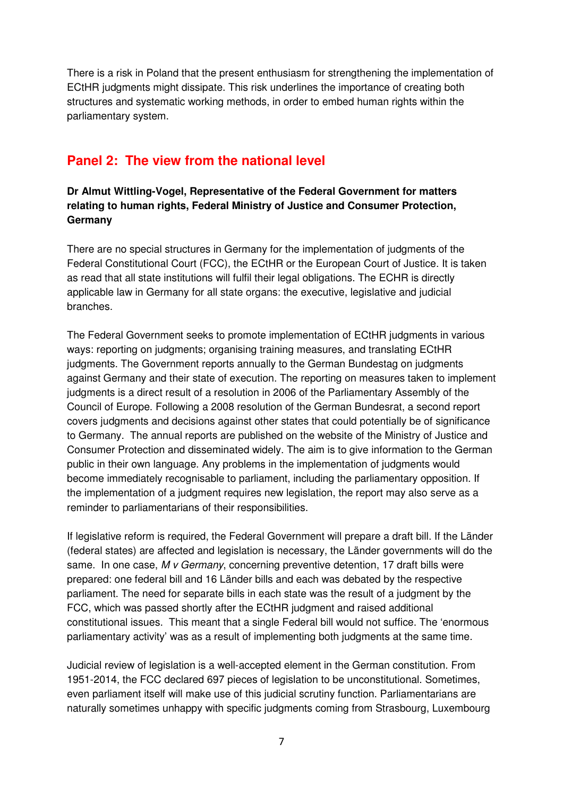There is a risk in Poland that the present enthusiasm for strengthening the implementation of ECtHR judgments might dissipate. This risk underlines the importance of creating both structures and systematic working methods, in order to embed human rights within the parliamentary system.

# **Panel 2: The view from the national level**

# **Dr Almut Wittling-Vogel, Representative of the Federal Government for matters relating to human rights, Federal Ministry of Justice and Consumer Protection, Germany**

There are no special structures in Germany for the implementation of judgments of the Federal Constitutional Court (FCC), the ECtHR or the European Court of Justice. It is taken as read that all state institutions will fulfil their legal obligations. The ECHR is directly applicable law in Germany for all state organs: the executive, legislative and judicial branches.

The Federal Government seeks to promote implementation of ECtHR judgments in various ways: reporting on judgments; organising training measures, and translating ECtHR judgments. The Government reports annually to the German Bundestag on judgments against Germany and their state of execution. The reporting on measures taken to implement judgments is a direct result of a resolution in 2006 of the Parliamentary Assembly of the Council of Europe. Following a 2008 resolution of the German Bundesrat, a second report covers judgments and decisions against other states that could potentially be of significance to Germany. The annual reports are published on the website of the Ministry of Justice and Consumer Protection and disseminated widely. The aim is to give information to the German public in their own language. Any problems in the implementation of judgments would become immediately recognisable to parliament, including the parliamentary opposition. If the implementation of a judgment requires new legislation, the report may also serve as a reminder to parliamentarians of their responsibilities.

If legislative reform is required, the Federal Government will prepare a draft bill. If the Länder (federal states) are affected and legislation is necessary, the Länder governments will do the same. In one case, M v Germany, concerning preventive detention, 17 draft bills were prepared: one federal bill and 16 Länder bills and each was debated by the respective parliament. The need for separate bills in each state was the result of a judgment by the FCC, which was passed shortly after the ECtHR judgment and raised additional constitutional issues. This meant that a single Federal bill would not suffice. The 'enormous parliamentary activity' was as a result of implementing both judgments at the same time.

Judicial review of legislation is a well-accepted element in the German constitution. From 1951-2014, the FCC declared 697 pieces of legislation to be unconstitutional. Sometimes, even parliament itself will make use of this judicial scrutiny function. Parliamentarians are naturally sometimes unhappy with specific judgments coming from Strasbourg, Luxembourg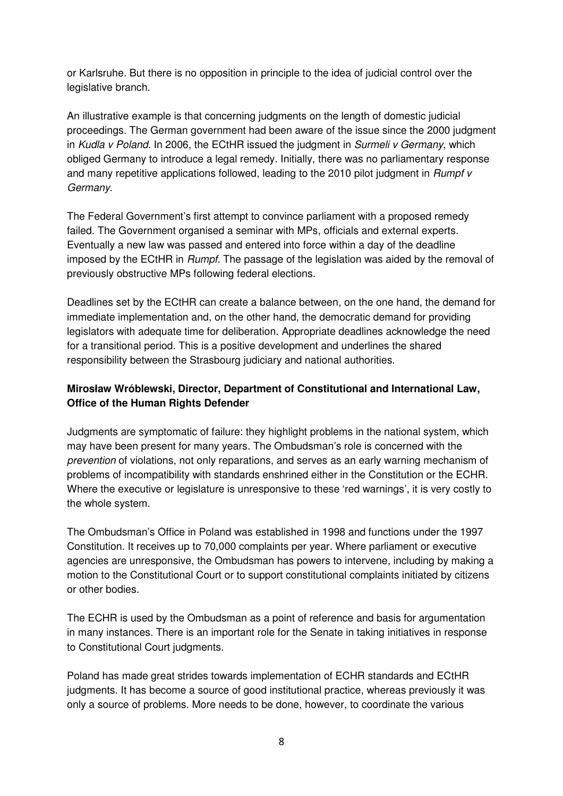or Karlsruhe. But there is no opposition in principle to the idea of judicial control over the legislative branch.

An illustrative example is that concerning judgments on the length of domestic judicial proceedings. The German government had been aware of the issue since the 2000 judgment in Kudla v Poland. In 2006, the ECtHR issued the judgment in Surmeli v Germany, which obliged Germany to introduce a legal remedy. Initially, there was no parliamentary response and many repetitive applications followed, leading to the 2010 pilot judgment in *Rumpf v* Germany.

The Federal Government's first attempt to convince parliament with a proposed remedy failed. The Government organised a seminar with MPs, officials and external experts. Eventually a new law was passed and entered into force within a day of the deadline imposed by the ECtHR in Rumpf. The passage of the legislation was aided by the removal of previously obstructive MPs following federal elections.

Deadlines set by the ECtHR can create a balance between, on the one hand, the demand for immediate implementation and, on the other hand, the democratic demand for providing legislators with adequate time for deliberation. Appropriate deadlines acknowledge the need for a transitional period. This is a positive development and underlines the shared responsibility between the Strasbourg judiciary and national authorities.

# **Mirosław Wróblewski, Director, Department of Constitutional and International Law, Office of the Human Rights Defender**

Judgments are symptomatic of failure: they highlight problems in the national system, which may have been present for many years. The Ombudsman's role is concerned with the prevention of violations, not only reparations, and serves as an early warning mechanism of problems of incompatibility with standards enshrined either in the Constitution or the ECHR. Where the executive or legislature is unresponsive to these 'red warnings', it is very costly to the whole system.

The Ombudsman's Office in Poland was established in 1998 and functions under the 1997 Constitution. It receives up to 70,000 complaints per year. Where parliament or executive agencies are unresponsive, the Ombudsman has powers to intervene, including by making a motion to the Constitutional Court or to support constitutional complaints initiated by citizens or other bodies.

The ECHR is used by the Ombudsman as a point of reference and basis for argumentation in many instances. There is an important role for the Senate in taking initiatives in response to Constitutional Court judgments.

Poland has made great strides towards implementation of ECHR standards and ECtHR judgments. It has become a source of good institutional practice, whereas previously it was only a source of problems. More needs to be done, however, to coordinate the various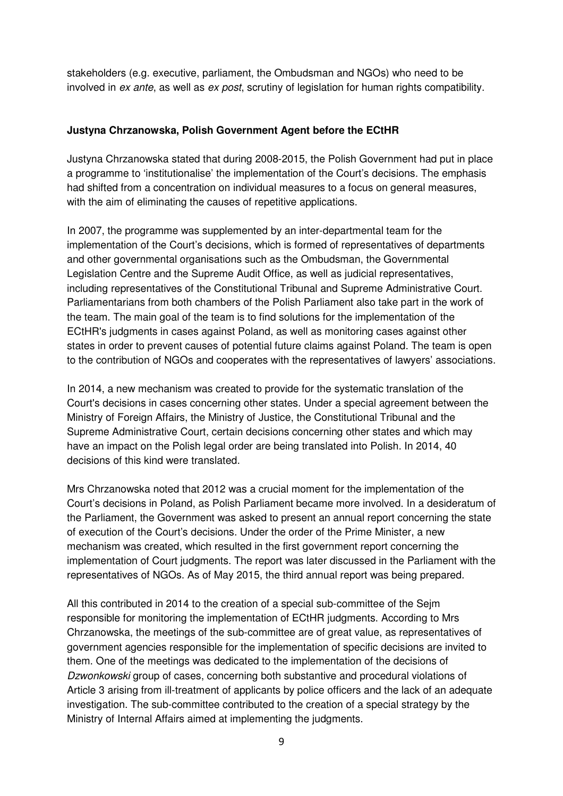stakeholders (e.g. executive, parliament, the Ombudsman and NGOs) who need to be involved in ex ante, as well as ex post, scrutiny of legislation for human rights compatibility.

#### **Justyna Chrzanowska, Polish Government Agent before the ECtHR**

Justyna Chrzanowska stated that during 2008-2015, the Polish Government had put in place a programme to 'institutionalise' the implementation of the Court's decisions. The emphasis had shifted from a concentration on individual measures to a focus on general measures, with the aim of eliminating the causes of repetitive applications.

In 2007, the programme was supplemented by an inter-departmental team for the implementation of the Court's decisions, which is formed of representatives of departments and other governmental organisations such as the Ombudsman, the Governmental Legislation Centre and the Supreme Audit Office, as well as judicial representatives, including representatives of the Constitutional Tribunal and Supreme Administrative Court. Parliamentarians from both chambers of the Polish Parliament also take part in the work of the team. The main goal of the team is to find solutions for the implementation of the ECtHR's judgments in cases against Poland, as well as monitoring cases against other states in order to prevent causes of potential future claims against Poland. The team is open to the contribution of NGOs and cooperates with the representatives of lawyers' associations.

In 2014, a new mechanism was created to provide for the systematic translation of the Court's decisions in cases concerning other states. Under a special agreement between the Ministry of Foreign Affairs, the Ministry of Justice, the Constitutional Tribunal and the Supreme Administrative Court, certain decisions concerning other states and which may have an impact on the Polish legal order are being translated into Polish. In 2014, 40 decisions of this kind were translated.

Mrs Chrzanowska noted that 2012 was a crucial moment for the implementation of the Court's decisions in Poland, as Polish Parliament became more involved. In a desideratum of the Parliament, the Government was asked to present an annual report concerning the state of execution of the Court's decisions. Under the order of the Prime Minister, a new mechanism was created, which resulted in the first government report concerning the implementation of Court judgments. The report was later discussed in the Parliament with the representatives of NGOs. As of May 2015, the third annual report was being prepared.

All this contributed in 2014 to the creation of a special sub-committee of the Sejm responsible for monitoring the implementation of ECtHR judgments. According to Mrs Chrzanowska, the meetings of the sub-committee are of great value, as representatives of government agencies responsible for the implementation of specific decisions are invited to them. One of the meetings was dedicated to the implementation of the decisions of Dzwonkowski group of cases, concerning both substantive and procedural violations of Article 3 arising from ill-treatment of applicants by police officers and the lack of an adequate investigation. The sub-committee contributed to the creation of a special strategy by the Ministry of Internal Affairs aimed at implementing the judgments.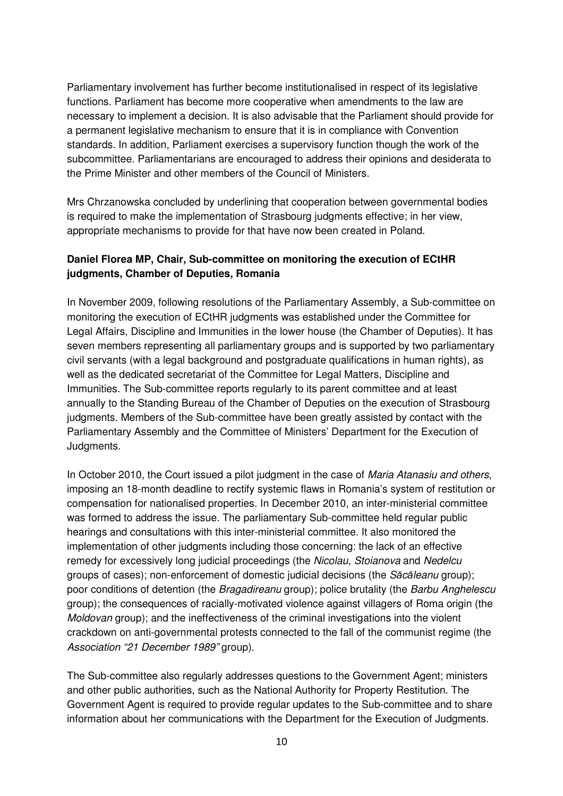Parliamentary involvement has further become institutionalised in respect of its legislative functions. Parliament has become more cooperative when amendments to the law are necessary to implement a decision. It is also advisable that the Parliament should provide for a permanent legislative mechanism to ensure that it is in compliance with Convention standards. In addition, Parliament exercises a supervisory function though the work of the subcommittee. Parliamentarians are encouraged to address their opinions and desiderata to the Prime Minister and other members of the Council of Ministers.

Mrs Chrzanowska concluded by underlining that cooperation between governmental bodies is required to make the implementation of Strasbourg judgments effective; in her view, appropriate mechanisms to provide for that have now been created in Poland.

# **Daniel Florea MP, Chair, Sub-committee on monitoring the execution of ECtHR judgments, Chamber of Deputies, Romania**

In November 2009, following resolutions of the Parliamentary Assembly, a Sub-committee on monitoring the execution of ECtHR judgments was established under the Committee for Legal Affairs, Discipline and Immunities in the lower house (the Chamber of Deputies). It has seven members representing all parliamentary groups and is supported by two parliamentary civil servants (with a legal background and postgraduate qualifications in human rights), as well as the dedicated secretariat of the Committee for Legal Matters, Discipline and Immunities. The Sub-committee reports regularly to its parent committee and at least annually to the Standing Bureau of the Chamber of Deputies on the execution of Strasbourg judgments. Members of the Sub-committee have been greatly assisted by contact with the Parliamentary Assembly and the Committee of Ministers' Department for the Execution of Judgments.

In October 2010, the Court issued a pilot judgment in the case of *Maria Atanasiu and others*, imposing an 18-month deadline to rectify systemic flaws in Romania's system of restitution or compensation for nationalised properties. In December 2010, an inter-ministerial committee was formed to address the issue. The parliamentary Sub-committee held regular public hearings and consultations with this inter-ministerial committee. It also monitored the implementation of other judgments including those concerning: the lack of an effective remedy for excessively long judicial proceedings (the Nicolau, Stoianova and Nedelcu groups of cases); non-enforcement of domestic judicial decisions (the Săcăleanu group); poor conditions of detention (the Bragadireanu group); police brutality (the Barbu Anghelescu group); the consequences of racially-motivated violence against villagers of Roma origin (the Moldovan group); and the ineffectiveness of the criminal investigations into the violent crackdown on anti-governmental protests connected to the fall of the communist regime (the Association "21 December 1989" group).

The Sub-committee also regularly addresses questions to the Government Agent; ministers and other public authorities, such as the National Authority for Property Restitution. The Government Agent is required to provide regular updates to the Sub-committee and to share information about her communications with the Department for the Execution of Judgments.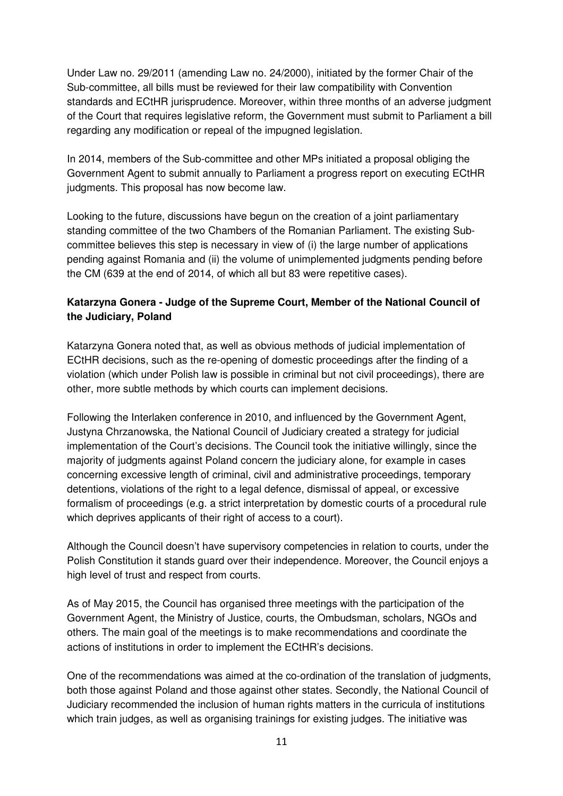Under Law no. 29/2011 (amending Law no. 24/2000), initiated by the former Chair of the Sub-committee, all bills must be reviewed for their law compatibility with Convention standards and ECtHR jurisprudence. Moreover, within three months of an adverse judgment of the Court that requires legislative reform, the Government must submit to Parliament a bill regarding any modification or repeal of the impugned legislation.

In 2014, members of the Sub-committee and other MPs initiated a proposal obliging the Government Agent to submit annually to Parliament a progress report on executing ECtHR judgments. This proposal has now become law.

Looking to the future, discussions have begun on the creation of a joint parliamentary standing committee of the two Chambers of the Romanian Parliament. The existing Subcommittee believes this step is necessary in view of (i) the large number of applications pending against Romania and (ii) the volume of unimplemented judgments pending before the CM (639 at the end of 2014, of which all but 83 were repetitive cases).

# **Katarzyna Gonera - Judge of the Supreme Court, Member of the National Council of the Judiciary, Poland**

Katarzyna Gonera noted that, as well as obvious methods of judicial implementation of ECtHR decisions, such as the re-opening of domestic proceedings after the finding of a violation (which under Polish law is possible in criminal but not civil proceedings), there are other, more subtle methods by which courts can implement decisions.

Following the Interlaken conference in 2010, and influenced by the Government Agent, Justyna Chrzanowska, the National Council of Judiciary created a strategy for judicial implementation of the Court's decisions. The Council took the initiative willingly, since the majority of judgments against Poland concern the judiciary alone, for example in cases concerning excessive length of criminal, civil and administrative proceedings, temporary detentions, violations of the right to a legal defence, dismissal of appeal, or excessive formalism of proceedings (e.g. a strict interpretation by domestic courts of a procedural rule which deprives applicants of their right of access to a court).

Although the Council doesn't have supervisory competencies in relation to courts, under the Polish Constitution it stands guard over their independence. Moreover, the Council enjoys a high level of trust and respect from courts.

As of May 2015, the Council has organised three meetings with the participation of the Government Agent, the Ministry of Justice, courts, the Ombudsman, scholars, NGOs and others. The main goal of the meetings is to make recommendations and coordinate the actions of institutions in order to implement the ECtHR's decisions.

One of the recommendations was aimed at the co-ordination of the translation of judgments, both those against Poland and those against other states. Secondly, the National Council of Judiciary recommended the inclusion of human rights matters in the curricula of institutions which train judges, as well as organising trainings for existing judges. The initiative was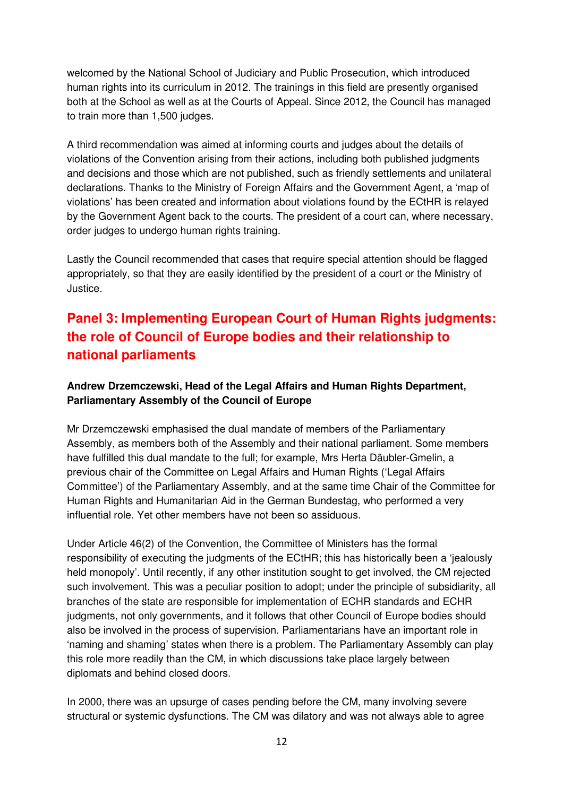welcomed by the National School of Judiciary and Public Prosecution, which introduced human rights into its curriculum in 2012. The trainings in this field are presently organised both at the School as well as at the Courts of Appeal. Since 2012, the Council has managed to train more than 1,500 judges.

A third recommendation was aimed at informing courts and judges about the details of violations of the Convention arising from their actions, including both published judgments and decisions and those which are not published, such as friendly settlements and unilateral declarations. Thanks to the Ministry of Foreign Affairs and the Government Agent, a 'map of violations' has been created and information about violations found by the ECtHR is relayed by the Government Agent back to the courts. The president of a court can, where necessary, order judges to undergo human rights training.

Lastly the Council recommended that cases that require special attention should be flagged appropriately, so that they are easily identified by the president of a court or the Ministry of Justice.

# **Panel 3: Implementing European Court of Human Rights judgments: the role of Council of Europe bodies and their relationship to national parliaments**

# **Andrew Drzemczewski, Head of the Legal Affairs and Human Rights Department, Parliamentary Assembly of the Council of Europe**

Mr Drzemczewski emphasised the dual mandate of members of the Parliamentary Assembly, as members both of the Assembly and their national parliament. Some members have fulfilled this dual mandate to the full; for example, Mrs Herta Däubler-Gmelin, a previous chair of the Committee on Legal Affairs and Human Rights ('Legal Affairs Committee') of the Parliamentary Assembly, and at the same time Chair of the Committee for Human Rights and Humanitarian Aid in the German Bundestag, who performed a very influential role. Yet other members have not been so assiduous.

Under Article 46(2) of the Convention, the Committee of Ministers has the formal responsibility of executing the judgments of the ECtHR; this has historically been a 'jealously held monopoly'. Until recently, if any other institution sought to get involved, the CM rejected such involvement. This was a peculiar position to adopt; under the principle of subsidiarity, all branches of the state are responsible for implementation of ECHR standards and ECHR judgments, not only governments, and it follows that other Council of Europe bodies should also be involved in the process of supervision. Parliamentarians have an important role in 'naming and shaming' states when there is a problem. The Parliamentary Assembly can play this role more readily than the CM, in which discussions take place largely between diplomats and behind closed doors.

In 2000, there was an upsurge of cases pending before the CM, many involving severe structural or systemic dysfunctions. The CM was dilatory and was not always able to agree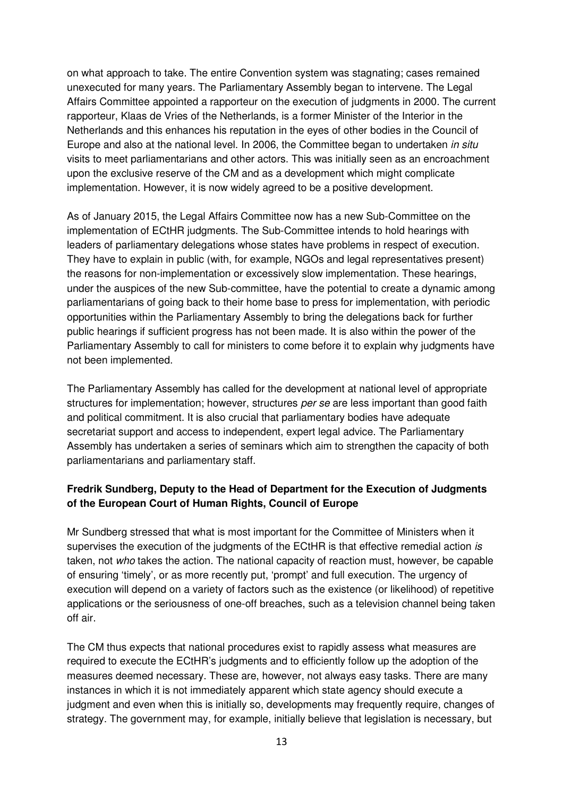on what approach to take. The entire Convention system was stagnating; cases remained unexecuted for many years. The Parliamentary Assembly began to intervene. The Legal Affairs Committee appointed a rapporteur on the execution of judgments in 2000. The current rapporteur, Klaas de Vries of the Netherlands, is a former Minister of the Interior in the Netherlands and this enhances his reputation in the eyes of other bodies in the Council of Europe and also at the national level. In 2006, the Committee began to undertaken in situ visits to meet parliamentarians and other actors. This was initially seen as an encroachment upon the exclusive reserve of the CM and as a development which might complicate implementation. However, it is now widely agreed to be a positive development.

As of January 2015, the Legal Affairs Committee now has a new Sub-Committee on the implementation of ECtHR judgments. The Sub-Committee intends to hold hearings with leaders of parliamentary delegations whose states have problems in respect of execution. They have to explain in public (with, for example, NGOs and legal representatives present) the reasons for non-implementation or excessively slow implementation. These hearings, under the auspices of the new Sub-committee, have the potential to create a dynamic among parliamentarians of going back to their home base to press for implementation, with periodic opportunities within the Parliamentary Assembly to bring the delegations back for further public hearings if sufficient progress has not been made. It is also within the power of the Parliamentary Assembly to call for ministers to come before it to explain why judgments have not been implemented.

The Parliamentary Assembly has called for the development at national level of appropriate structures for implementation; however, structures per se are less important than good faith and political commitment. It is also crucial that parliamentary bodies have adequate secretariat support and access to independent, expert legal advice. The Parliamentary Assembly has undertaken a series of seminars which aim to strengthen the capacity of both parliamentarians and parliamentary staff.

# **Fredrik Sundberg, Deputy to the Head of Department for the Execution of Judgments of the European Court of Human Rights, Council of Europe**

Mr Sundberg stressed that what is most important for the Committee of Ministers when it supervises the execution of the judgments of the ECtHR is that effective remedial action is taken, not who takes the action. The national capacity of reaction must, however, be capable of ensuring 'timely', or as more recently put, 'prompt' and full execution. The urgency of execution will depend on a variety of factors such as the existence (or likelihood) of repetitive applications or the seriousness of one-off breaches, such as a television channel being taken off air.

The CM thus expects that national procedures exist to rapidly assess what measures are required to execute the ECtHR's judgments and to efficiently follow up the adoption of the measures deemed necessary. These are, however, not always easy tasks. There are many instances in which it is not immediately apparent which state agency should execute a judgment and even when this is initially so, developments may frequently require, changes of strategy. The government may, for example, initially believe that legislation is necessary, but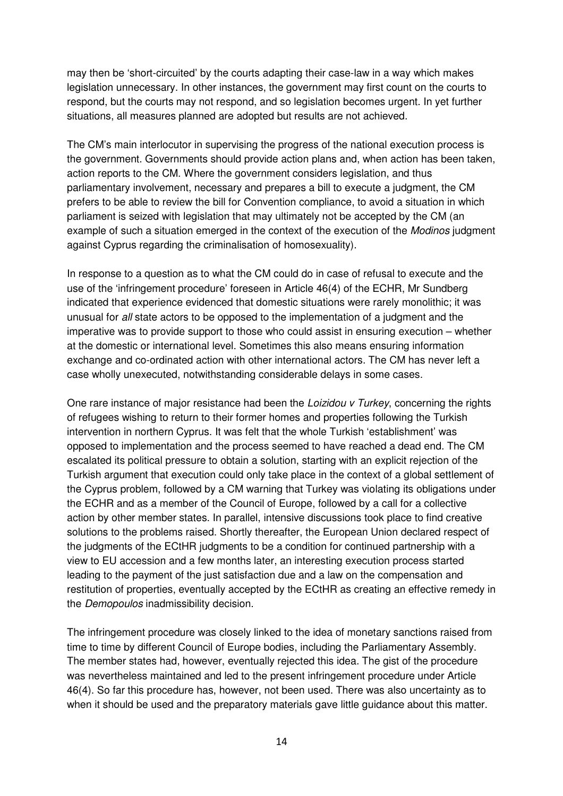may then be 'short-circuited' by the courts adapting their case-law in a way which makes legislation unnecessary. In other instances, the government may first count on the courts to respond, but the courts may not respond, and so legislation becomes urgent. In yet further situations, all measures planned are adopted but results are not achieved.

The CM's main interlocutor in supervising the progress of the national execution process is the government. Governments should provide action plans and, when action has been taken, action reports to the CM. Where the government considers legislation, and thus parliamentary involvement, necessary and prepares a bill to execute a judgment, the CM prefers to be able to review the bill for Convention compliance, to avoid a situation in which parliament is seized with legislation that may ultimately not be accepted by the CM (an example of such a situation emerged in the context of the execution of the *Modinos* judgment against Cyprus regarding the criminalisation of homosexuality).

In response to a question as to what the CM could do in case of refusal to execute and the use of the 'infringement procedure' foreseen in Article 46(4) of the ECHR, Mr Sundberg indicated that experience evidenced that domestic situations were rarely monolithic; it was unusual for all state actors to be opposed to the implementation of a judgment and the imperative was to provide support to those who could assist in ensuring execution – whether at the domestic or international level. Sometimes this also means ensuring information exchange and co-ordinated action with other international actors. The CM has never left a case wholly unexecuted, notwithstanding considerable delays in some cases.

One rare instance of major resistance had been the Loizidou v Turkey, concerning the rights of refugees wishing to return to their former homes and properties following the Turkish intervention in northern Cyprus. It was felt that the whole Turkish 'establishment' was opposed to implementation and the process seemed to have reached a dead end. The CM escalated its political pressure to obtain a solution, starting with an explicit rejection of the Turkish argument that execution could only take place in the context of a global settlement of the Cyprus problem, followed by a CM warning that Turkey was violating its obligations under the ECHR and as a member of the Council of Europe, followed by a call for a collective action by other member states. In parallel, intensive discussions took place to find creative solutions to the problems raised. Shortly thereafter, the European Union declared respect of the judgments of the ECtHR judgments to be a condition for continued partnership with a view to EU accession and a few months later, an interesting execution process started leading to the payment of the just satisfaction due and a law on the compensation and restitution of properties, eventually accepted by the ECtHR as creating an effective remedy in the Demopoulos inadmissibility decision.

The infringement procedure was closely linked to the idea of monetary sanctions raised from time to time by different Council of Europe bodies, including the Parliamentary Assembly. The member states had, however, eventually rejected this idea. The gist of the procedure was nevertheless maintained and led to the present infringement procedure under Article 46(4). So far this procedure has, however, not been used. There was also uncertainty as to when it should be used and the preparatory materials gave little guidance about this matter.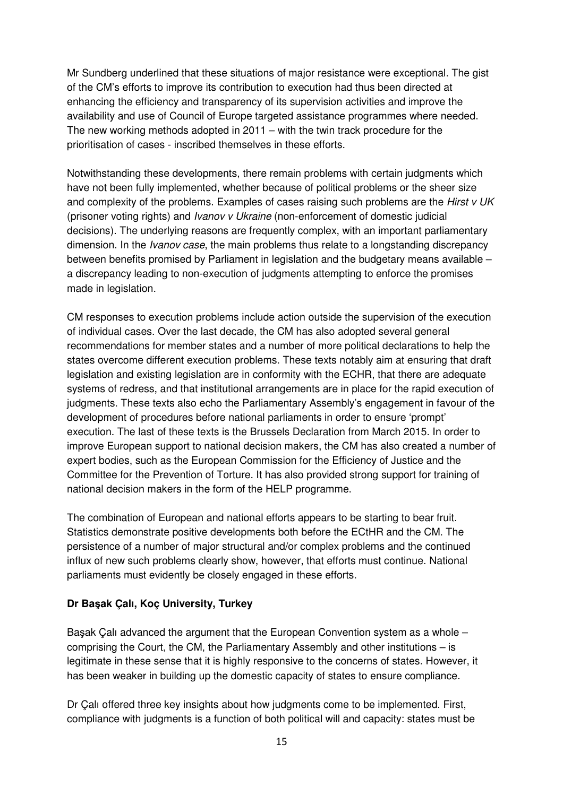Mr Sundberg underlined that these situations of major resistance were exceptional. The gist of the CM's efforts to improve its contribution to execution had thus been directed at enhancing the efficiency and transparency of its supervision activities and improve the availability and use of Council of Europe targeted assistance programmes where needed. The new working methods adopted in 2011 – with the twin track procedure for the prioritisation of cases - inscribed themselves in these efforts.

Notwithstanding these developments, there remain problems with certain judgments which have not been fully implemented, whether because of political problems or the sheer size and complexity of the problems. Examples of cases raising such problems are the *Hirst v UK* (prisoner voting rights) and Ivanov v Ukraine (non-enforcement of domestic judicial decisions). The underlying reasons are frequently complex, with an important parliamentary dimension. In the *Ivanov case*, the main problems thus relate to a longstanding discrepancy between benefits promised by Parliament in legislation and the budgetary means available – a discrepancy leading to non-execution of judgments attempting to enforce the promises made in legislation.

CM responses to execution problems include action outside the supervision of the execution of individual cases. Over the last decade, the CM has also adopted several general recommendations for member states and a number of more political declarations to help the states overcome different execution problems. These texts notably aim at ensuring that draft legislation and existing legislation are in conformity with the ECHR, that there are adequate systems of redress, and that institutional arrangements are in place for the rapid execution of judgments. These texts also echo the Parliamentary Assembly's engagement in favour of the development of procedures before national parliaments in order to ensure 'prompt' execution. The last of these texts is the Brussels Declaration from March 2015. In order to improve European support to national decision makers, the CM has also created a number of expert bodies, such as the European Commission for the Efficiency of Justice and the Committee for the Prevention of Torture. It has also provided strong support for training of national decision makers in the form of the HELP programme.

The combination of European and national efforts appears to be starting to bear fruit. Statistics demonstrate positive developments both before the ECtHR and the CM. The persistence of a number of major structural and/or complex problems and the continued influx of new such problems clearly show, however, that efforts must continue. National parliaments must evidently be closely engaged in these efforts.

#### **Dr Ba**ş**ak Çalı, Koç University, Turkey**

Başak Çalı advanced the argument that the European Convention system as a whole – comprising the Court, the CM, the Parliamentary Assembly and other institutions – is legitimate in these sense that it is highly responsive to the concerns of states. However, it has been weaker in building up the domestic capacity of states to ensure compliance.

Dr Çalı offered three key insights about how judgments come to be implemented. First, compliance with judgments is a function of both political will and capacity: states must be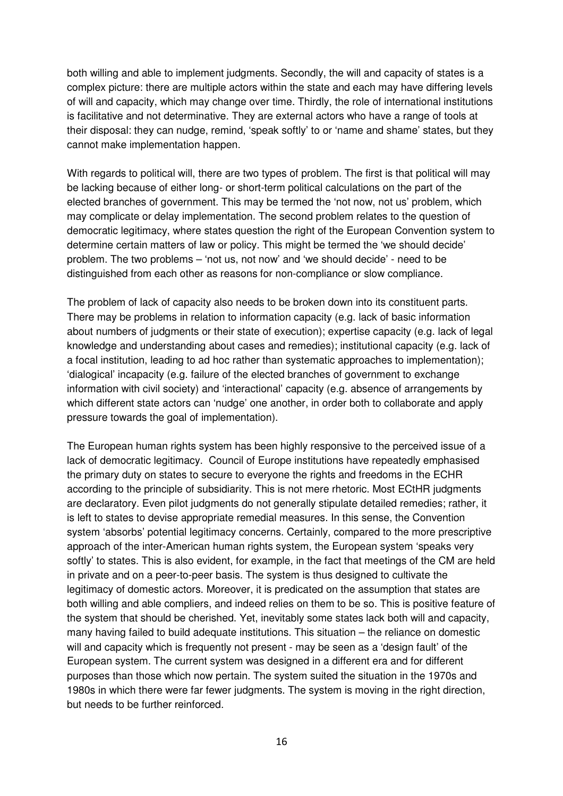both willing and able to implement judgments. Secondly, the will and capacity of states is a complex picture: there are multiple actors within the state and each may have differing levels of will and capacity, which may change over time. Thirdly, the role of international institutions is facilitative and not determinative. They are external actors who have a range of tools at their disposal: they can nudge, remind, 'speak softly' to or 'name and shame' states, but they cannot make implementation happen.

With regards to political will, there are two types of problem. The first is that political will may be lacking because of either long- or short-term political calculations on the part of the elected branches of government. This may be termed the 'not now, not us' problem, which may complicate or delay implementation. The second problem relates to the question of democratic legitimacy, where states question the right of the European Convention system to determine certain matters of law or policy. This might be termed the 'we should decide' problem. The two problems – 'not us, not now' and 'we should decide' - need to be distinguished from each other as reasons for non-compliance or slow compliance.

The problem of lack of capacity also needs to be broken down into its constituent parts. There may be problems in relation to information capacity (e.g. lack of basic information about numbers of judgments or their state of execution); expertise capacity (e.g. lack of legal knowledge and understanding about cases and remedies); institutional capacity (e.g. lack of a focal institution, leading to ad hoc rather than systematic approaches to implementation); 'dialogical' incapacity (e.g. failure of the elected branches of government to exchange information with civil society) and 'interactional' capacity (e.g. absence of arrangements by which different state actors can 'nudge' one another, in order both to collaborate and apply pressure towards the goal of implementation).

The European human rights system has been highly responsive to the perceived issue of a lack of democratic legitimacy. Council of Europe institutions have repeatedly emphasised the primary duty on states to secure to everyone the rights and freedoms in the ECHR according to the principle of subsidiarity. This is not mere rhetoric. Most ECtHR judgments are declaratory. Even pilot judgments do not generally stipulate detailed remedies; rather, it is left to states to devise appropriate remedial measures. In this sense, the Convention system 'absorbs' potential legitimacy concerns. Certainly, compared to the more prescriptive approach of the inter-American human rights system, the European system 'speaks very softly' to states. This is also evident, for example, in the fact that meetings of the CM are held in private and on a peer-to-peer basis. The system is thus designed to cultivate the legitimacy of domestic actors. Moreover, it is predicated on the assumption that states are both willing and able compliers, and indeed relies on them to be so. This is positive feature of the system that should be cherished. Yet, inevitably some states lack both will and capacity, many having failed to build adequate institutions. This situation – the reliance on domestic will and capacity which is frequently not present - may be seen as a 'design fault' of the European system. The current system was designed in a different era and for different purposes than those which now pertain. The system suited the situation in the 1970s and 1980s in which there were far fewer judgments. The system is moving in the right direction, but needs to be further reinforced.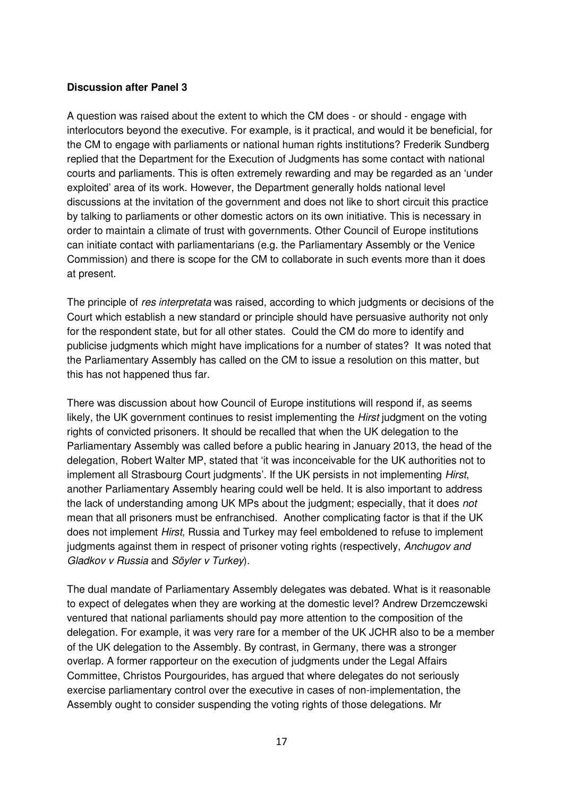#### **Discussion after Panel 3**

A question was raised about the extent to which the CM does - or should - engage with interlocutors beyond the executive. For example, is it practical, and would it be beneficial, for the CM to engage with parliaments or national human rights institutions? Frederik Sundberg replied that the Department for the Execution of Judgments has some contact with national courts and parliaments. This is often extremely rewarding and may be regarded as an 'under exploited' area of its work. However, the Department generally holds national level discussions at the invitation of the government and does not like to short circuit this practice by talking to parliaments or other domestic actors on its own initiative. This is necessary in order to maintain a climate of trust with governments. Other Council of Europe institutions can initiate contact with parliamentarians (e.g. the Parliamentary Assembly or the Venice Commission) and there is scope for the CM to collaborate in such events more than it does at present.

The principle of res interpretata was raised, according to which judgments or decisions of the Court which establish a new standard or principle should have persuasive authority not only for the respondent state, but for all other states. Could the CM do more to identify and publicise judgments which might have implications for a number of states? It was noted that the Parliamentary Assembly has called on the CM to issue a resolution on this matter, but this has not happened thus far.

There was discussion about how Council of Europe institutions will respond if, as seems likely, the UK government continues to resist implementing the *Hirst* judgment on the voting rights of convicted prisoners. It should be recalled that when the UK delegation to the Parliamentary Assembly was called before a public hearing in January 2013, the head of the delegation, Robert Walter MP, stated that 'it was inconceivable for the UK authorities not to implement all Strasbourg Court judgments'. If the UK persists in not implementing Hirst, another Parliamentary Assembly hearing could well be held. It is also important to address the lack of understanding among UK MPs about the judgment; especially, that it does not mean that all prisoners must be enfranchised. Another complicating factor is that if the UK does not implement Hirst, Russia and Turkey may feel emboldened to refuse to implement judgments against them in respect of prisoner voting rights (respectively, Anchugov and Gladkov v Russia and Söyler v Turkey).

The dual mandate of Parliamentary Assembly delegates was debated. What is it reasonable to expect of delegates when they are working at the domestic level? Andrew Drzemczewski ventured that national parliaments should pay more attention to the composition of the delegation. For example, it was very rare for a member of the UK JCHR also to be a member of the UK delegation to the Assembly. By contrast, in Germany, there was a stronger overlap. A former rapporteur on the execution of judgments under the Legal Affairs Committee, Christos Pourgourides, has argued that where delegates do not seriously exercise parliamentary control over the executive in cases of non-implementation, the Assembly ought to consider suspending the voting rights of those delegations. Mr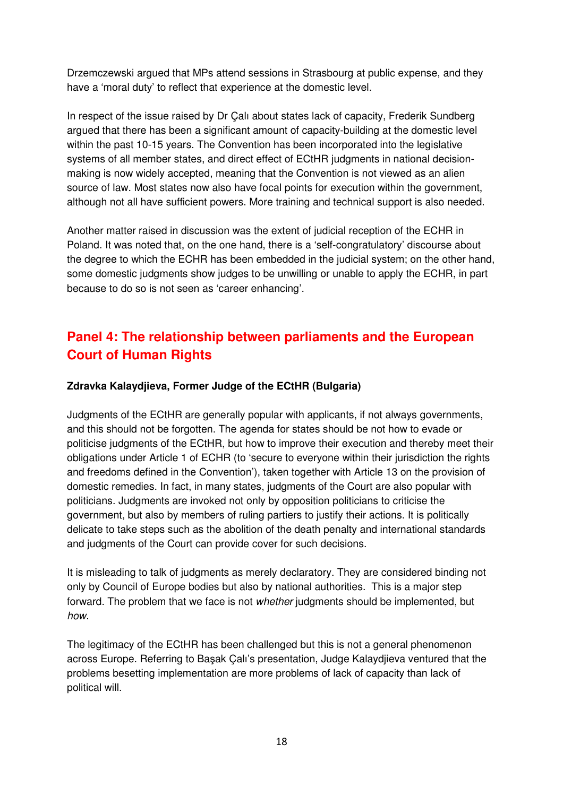Drzemczewski argued that MPs attend sessions in Strasbourg at public expense, and they have a 'moral duty' to reflect that experience at the domestic level.

In respect of the issue raised by Dr Çalı about states lack of capacity, Frederik Sundberg argued that there has been a significant amount of capacity-building at the domestic level within the past 10-15 years. The Convention has been incorporated into the legislative systems of all member states, and direct effect of ECtHR judgments in national decisionmaking is now widely accepted, meaning that the Convention is not viewed as an alien source of law. Most states now also have focal points for execution within the government, although not all have sufficient powers. More training and technical support is also needed.

Another matter raised in discussion was the extent of judicial reception of the ECHR in Poland. It was noted that, on the one hand, there is a 'self-congratulatory' discourse about the degree to which the ECHR has been embedded in the judicial system; on the other hand, some domestic judgments show judges to be unwilling or unable to apply the ECHR, in part because to do so is not seen as 'career enhancing'.

# **Panel 4: The relationship between parliaments and the European Court of Human Rights**

# **Zdravka Kalaydjieva, Former Judge of the ECtHR (Bulgaria)**

Judgments of the ECtHR are generally popular with applicants, if not always governments, and this should not be forgotten. The agenda for states should be not how to evade or politicise judgments of the ECtHR, but how to improve their execution and thereby meet their obligations under Article 1 of ECHR (to 'secure to everyone within their jurisdiction the rights and freedoms defined in the Convention'), taken together with Article 13 on the provision of domestic remedies. In fact, in many states, judgments of the Court are also popular with politicians. Judgments are invoked not only by opposition politicians to criticise the government, but also by members of ruling partiers to justify their actions. It is politically delicate to take steps such as the abolition of the death penalty and international standards and judgments of the Court can provide cover for such decisions.

It is misleading to talk of judgments as merely declaratory. They are considered binding not only by Council of Europe bodies but also by national authorities. This is a major step forward. The problem that we face is not whether judgments should be implemented, but how.

The legitimacy of the ECtHR has been challenged but this is not a general phenomenon across Europe. Referring to Başak Çalı's presentation, Judge Kalaydjieva ventured that the problems besetting implementation are more problems of lack of capacity than lack of political will.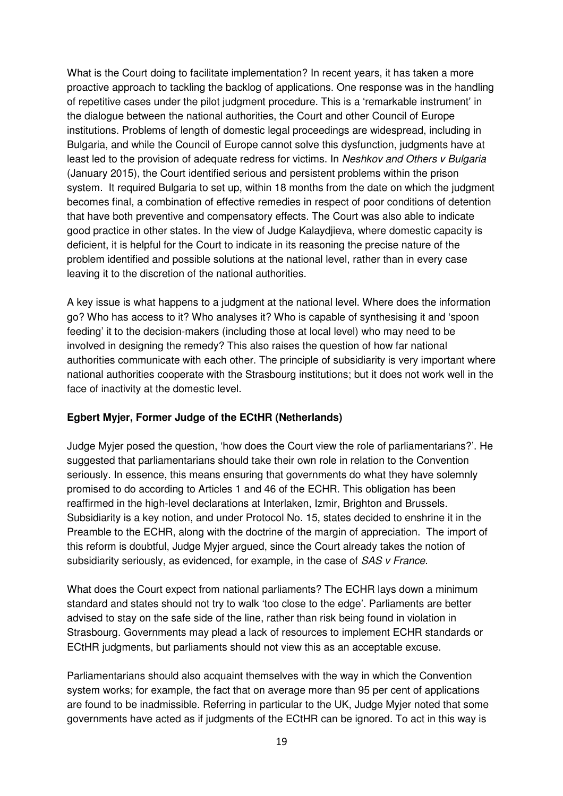What is the Court doing to facilitate implementation? In recent years, it has taken a more proactive approach to tackling the backlog of applications. One response was in the handling of repetitive cases under the pilot judgment procedure. This is a 'remarkable instrument' in the dialogue between the national authorities, the Court and other Council of Europe institutions. Problems of length of domestic legal proceedings are widespread, including in Bulgaria, and while the Council of Europe cannot solve this dysfunction, judgments have at least led to the provision of adequate redress for victims. In Neshkov and Others v Bulgaria (January 2015), the Court identified serious and persistent problems within the prison system. It required Bulgaria to set up, within 18 months from the date on which the judgment becomes final, a combination of effective remedies in respect of poor conditions of detention that have both preventive and compensatory effects. The Court was also able to indicate good practice in other states. In the view of Judge Kalaydjieva, where domestic capacity is deficient, it is helpful for the Court to indicate in its reasoning the precise nature of the problem identified and possible solutions at the national level, rather than in every case leaving it to the discretion of the national authorities.

A key issue is what happens to a judgment at the national level. Where does the information go? Who has access to it? Who analyses it? Who is capable of synthesising it and 'spoon feeding' it to the decision-makers (including those at local level) who may need to be involved in designing the remedy? This also raises the question of how far national authorities communicate with each other. The principle of subsidiarity is very important where national authorities cooperate with the Strasbourg institutions; but it does not work well in the face of inactivity at the domestic level.

#### **Egbert Myjer, Former Judge of the ECtHR (Netherlands)**

Judge Myjer posed the question, 'how does the Court view the role of parliamentarians?'. He suggested that parliamentarians should take their own role in relation to the Convention seriously. In essence, this means ensuring that governments do what they have solemnly promised to do according to Articles 1 and 46 of the ECHR. This obligation has been reaffirmed in the high-level declarations at Interlaken, Izmir, Brighton and Brussels. Subsidiarity is a key notion, and under Protocol No. 15, states decided to enshrine it in the Preamble to the ECHR, along with the doctrine of the margin of appreciation. The import of this reform is doubtful, Judge Myjer argued, since the Court already takes the notion of subsidiarity seriously, as evidenced, for example, in the case of SAS v France.

What does the Court expect from national parliaments? The ECHR lays down a minimum standard and states should not try to walk 'too close to the edge'. Parliaments are better advised to stay on the safe side of the line, rather than risk being found in violation in Strasbourg. Governments may plead a lack of resources to implement ECHR standards or ECtHR judgments, but parliaments should not view this as an acceptable excuse.

Parliamentarians should also acquaint themselves with the way in which the Convention system works; for example, the fact that on average more than 95 per cent of applications are found to be inadmissible. Referring in particular to the UK, Judge Myjer noted that some governments have acted as if judgments of the ECtHR can be ignored. To act in this way is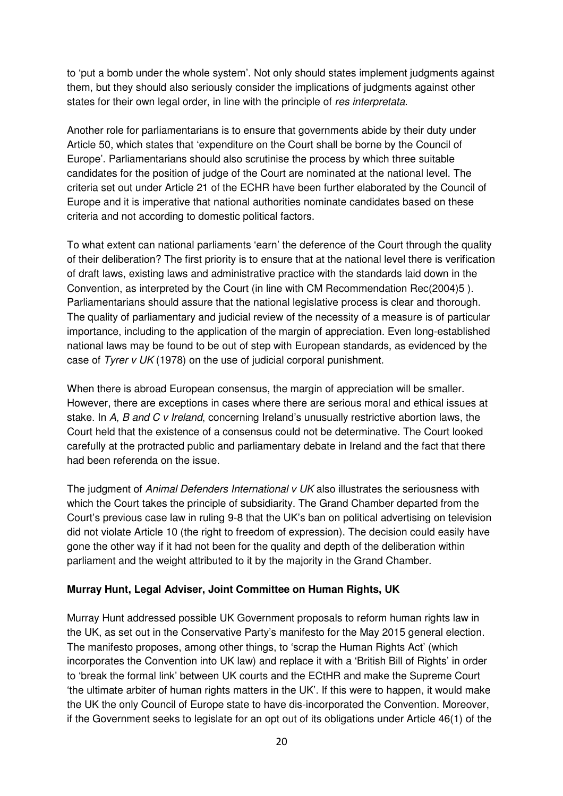to 'put a bomb under the whole system'. Not only should states implement judgments against them, but they should also seriously consider the implications of judgments against other states for their own legal order, in line with the principle of res interpretata.

Another role for parliamentarians is to ensure that governments abide by their duty under Article 50, which states that 'expenditure on the Court shall be borne by the Council of Europe'. Parliamentarians should also scrutinise the process by which three suitable candidates for the position of judge of the Court are nominated at the national level. The criteria set out under Article 21 of the ECHR have been further elaborated by the Council of Europe and it is imperative that national authorities nominate candidates based on these criteria and not according to domestic political factors.

To what extent can national parliaments 'earn' the deference of the Court through the quality of their deliberation? The first priority is to ensure that at the national level there is verification of draft laws, existing laws and administrative practice with the standards laid down in the Convention, as interpreted by the Court (in line with CM Recommendation Rec(2004)5 ). Parliamentarians should assure that the national legislative process is clear and thorough. The quality of parliamentary and judicial review of the necessity of a measure is of particular importance, including to the application of the margin of appreciation. Even long-established national laws may be found to be out of step with European standards, as evidenced by the case of Tyrer v UK (1978) on the use of judicial corporal punishment.

When there is abroad European consensus, the margin of appreciation will be smaller. However, there are exceptions in cases where there are serious moral and ethical issues at stake. In A, B and C v Ireland, concerning Ireland's unusually restrictive abortion laws, the Court held that the existence of a consensus could not be determinative. The Court looked carefully at the protracted public and parliamentary debate in Ireland and the fact that there had been referenda on the issue.

The judgment of Animal Defenders International v UK also illustrates the seriousness with which the Court takes the principle of subsidiarity. The Grand Chamber departed from the Court's previous case law in ruling 9-8 that the UK's ban on political advertising on television did not violate Article 10 (the right to freedom of expression). The decision could easily have gone the other way if it had not been for the quality and depth of the deliberation within parliament and the weight attributed to it by the majority in the Grand Chamber.

#### **Murray Hunt, Legal Adviser, Joint Committee on Human Rights, UK**

Murray Hunt addressed possible UK Government proposals to reform human rights law in the UK, as set out in the Conservative Party's manifesto for the May 2015 general election. The manifesto proposes, among other things, to 'scrap the Human Rights Act' (which incorporates the Convention into UK law) and replace it with a 'British Bill of Rights' in order to 'break the formal link' between UK courts and the ECtHR and make the Supreme Court 'the ultimate arbiter of human rights matters in the UK'. If this were to happen, it would make the UK the only Council of Europe state to have dis-incorporated the Convention. Moreover, if the Government seeks to legislate for an opt out of its obligations under Article 46(1) of the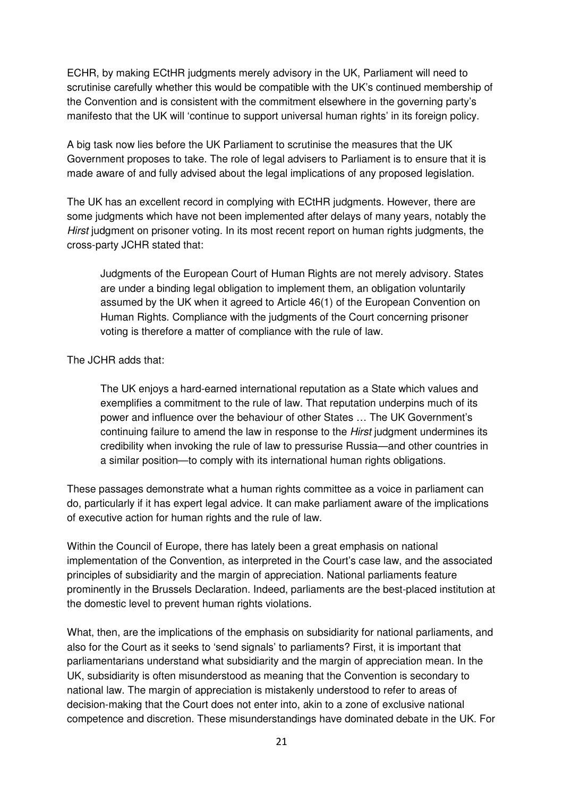ECHR, by making ECtHR judgments merely advisory in the UK, Parliament will need to scrutinise carefully whether this would be compatible with the UK's continued membership of the Convention and is consistent with the commitment elsewhere in the governing party's manifesto that the UK will 'continue to support universal human rights' in its foreign policy.

A big task now lies before the UK Parliament to scrutinise the measures that the UK Government proposes to take. The role of legal advisers to Parliament is to ensure that it is made aware of and fully advised about the legal implications of any proposed legislation.

The UK has an excellent record in complying with ECtHR judgments. However, there are some judgments which have not been implemented after delays of many years, notably the Hirst judgment on prisoner voting. In its most recent report on human rights judgments, the cross-party JCHR stated that:

 Judgments of the European Court of Human Rights are not merely advisory. States are under a binding legal obligation to implement them, an obligation voluntarily assumed by the UK when it agreed to Article 46(1) of the European Convention on Human Rights. Compliance with the judgments of the Court concerning prisoner voting is therefore a matter of compliance with the rule of law.

#### The JCHR adds that:

 The UK enjoys a hard-earned international reputation as a State which values and exemplifies a commitment to the rule of law. That reputation underpins much of its power and influence over the behaviour of other States … The UK Government's continuing failure to amend the law in response to the *Hirst* judgment undermines its credibility when invoking the rule of law to pressurise Russia—and other countries in a similar position—to comply with its international human rights obligations.

These passages demonstrate what a human rights committee as a voice in parliament can do, particularly if it has expert legal advice. It can make parliament aware of the implications of executive action for human rights and the rule of law.

Within the Council of Europe, there has lately been a great emphasis on national implementation of the Convention, as interpreted in the Court's case law, and the associated principles of subsidiarity and the margin of appreciation. National parliaments feature prominently in the Brussels Declaration. Indeed, parliaments are the best-placed institution at the domestic level to prevent human rights violations.

What, then, are the implications of the emphasis on subsidiarity for national parliaments, and also for the Court as it seeks to 'send signals' to parliaments? First, it is important that parliamentarians understand what subsidiarity and the margin of appreciation mean. In the UK, subsidiarity is often misunderstood as meaning that the Convention is secondary to national law. The margin of appreciation is mistakenly understood to refer to areas of decision-making that the Court does not enter into, akin to a zone of exclusive national competence and discretion. These misunderstandings have dominated debate in the UK. For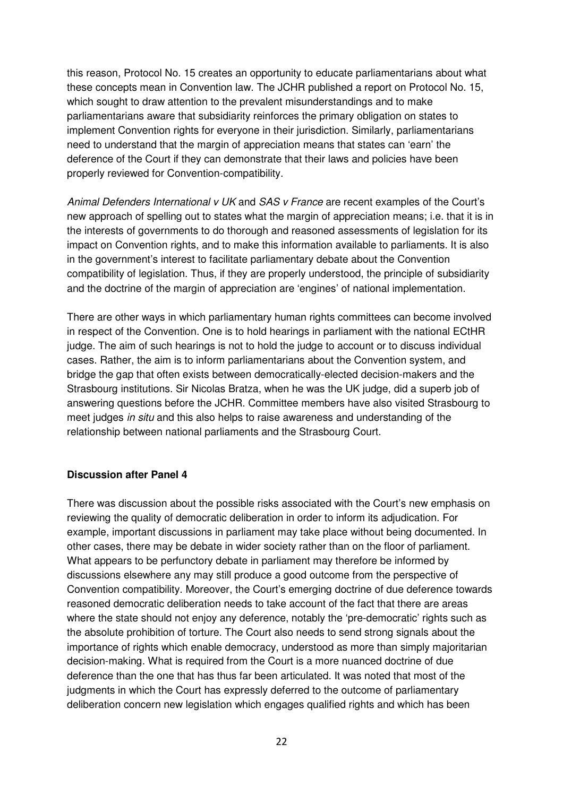this reason, Protocol No. 15 creates an opportunity to educate parliamentarians about what these concepts mean in Convention law. The JCHR published a report on Protocol No. 15, which sought to draw attention to the prevalent misunderstandings and to make parliamentarians aware that subsidiarity reinforces the primary obligation on states to implement Convention rights for everyone in their jurisdiction. Similarly, parliamentarians need to understand that the margin of appreciation means that states can 'earn' the deference of the Court if they can demonstrate that their laws and policies have been properly reviewed for Convention-compatibility.

Animal Defenders International v UK and SAS v France are recent examples of the Court's new approach of spelling out to states what the margin of appreciation means; i.e. that it is in the interests of governments to do thorough and reasoned assessments of legislation for its impact on Convention rights, and to make this information available to parliaments. It is also in the government's interest to facilitate parliamentary debate about the Convention compatibility of legislation. Thus, if they are properly understood, the principle of subsidiarity and the doctrine of the margin of appreciation are 'engines' of national implementation.

There are other ways in which parliamentary human rights committees can become involved in respect of the Convention. One is to hold hearings in parliament with the national ECtHR judge. The aim of such hearings is not to hold the judge to account or to discuss individual cases. Rather, the aim is to inform parliamentarians about the Convention system, and bridge the gap that often exists between democratically-elected decision-makers and the Strasbourg institutions. Sir Nicolas Bratza, when he was the UK judge, did a superb job of answering questions before the JCHR. Committee members have also visited Strasbourg to meet judges in situ and this also helps to raise awareness and understanding of the relationship between national parliaments and the Strasbourg Court.

#### **Discussion after Panel 4**

There was discussion about the possible risks associated with the Court's new emphasis on reviewing the quality of democratic deliberation in order to inform its adjudication. For example, important discussions in parliament may take place without being documented. In other cases, there may be debate in wider society rather than on the floor of parliament. What appears to be perfunctory debate in parliament may therefore be informed by discussions elsewhere any may still produce a good outcome from the perspective of Convention compatibility. Moreover, the Court's emerging doctrine of due deference towards reasoned democratic deliberation needs to take account of the fact that there are areas where the state should not enjoy any deference, notably the 'pre-democratic' rights such as the absolute prohibition of torture. The Court also needs to send strong signals about the importance of rights which enable democracy, understood as more than simply majoritarian decision-making. What is required from the Court is a more nuanced doctrine of due deference than the one that has thus far been articulated. It was noted that most of the judgments in which the Court has expressly deferred to the outcome of parliamentary deliberation concern new legislation which engages qualified rights and which has been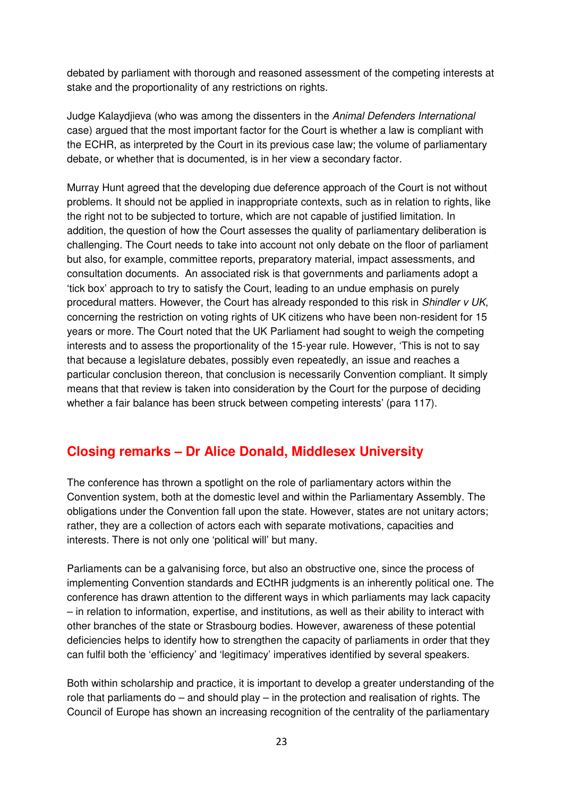debated by parliament with thorough and reasoned assessment of the competing interests at stake and the proportionality of any restrictions on rights.

Judge Kalaydjieva (who was among the dissenters in the Animal Defenders International case) argued that the most important factor for the Court is whether a law is compliant with the ECHR, as interpreted by the Court in its previous case law; the volume of parliamentary debate, or whether that is documented, is in her view a secondary factor.

Murray Hunt agreed that the developing due deference approach of the Court is not without problems. It should not be applied in inappropriate contexts, such as in relation to rights, like the right not to be subjected to torture, which are not capable of justified limitation. In addition, the question of how the Court assesses the quality of parliamentary deliberation is challenging. The Court needs to take into account not only debate on the floor of parliament but also, for example, committee reports, preparatory material, impact assessments, and consultation documents. An associated risk is that governments and parliaments adopt a 'tick box' approach to try to satisfy the Court, leading to an undue emphasis on purely procedural matters. However, the Court has already responded to this risk in Shindler v UK, concerning the restriction on voting rights of UK citizens who have been non-resident for 15 years or more. The Court noted that the UK Parliament had sought to weigh the competing interests and to assess the proportionality of the 15-year rule. However, 'This is not to say that because a legislature debates, possibly even repeatedly, an issue and reaches a particular conclusion thereon, that conclusion is necessarily Convention compliant. It simply means that that review is taken into consideration by the Court for the purpose of deciding whether a fair balance has been struck between competing interests' (para 117).

# **Closing remarks – Dr Alice Donald, Middlesex University**

The conference has thrown a spotlight on the role of parliamentary actors within the Convention system, both at the domestic level and within the Parliamentary Assembly. The obligations under the Convention fall upon the state. However, states are not unitary actors; rather, they are a collection of actors each with separate motivations, capacities and interests. There is not only one 'political will' but many.

Parliaments can be a galvanising force, but also an obstructive one, since the process of implementing Convention standards and ECtHR judgments is an inherently political one. The conference has drawn attention to the different ways in which parliaments may lack capacity – in relation to information, expertise, and institutions, as well as their ability to interact with other branches of the state or Strasbourg bodies. However, awareness of these potential deficiencies helps to identify how to strengthen the capacity of parliaments in order that they can fulfil both the 'efficiency' and 'legitimacy' imperatives identified by several speakers.

Both within scholarship and practice, it is important to develop a greater understanding of the role that parliaments  $do -$  and should play  $-$  in the protection and realisation of rights. The Council of Europe has shown an increasing recognition of the centrality of the parliamentary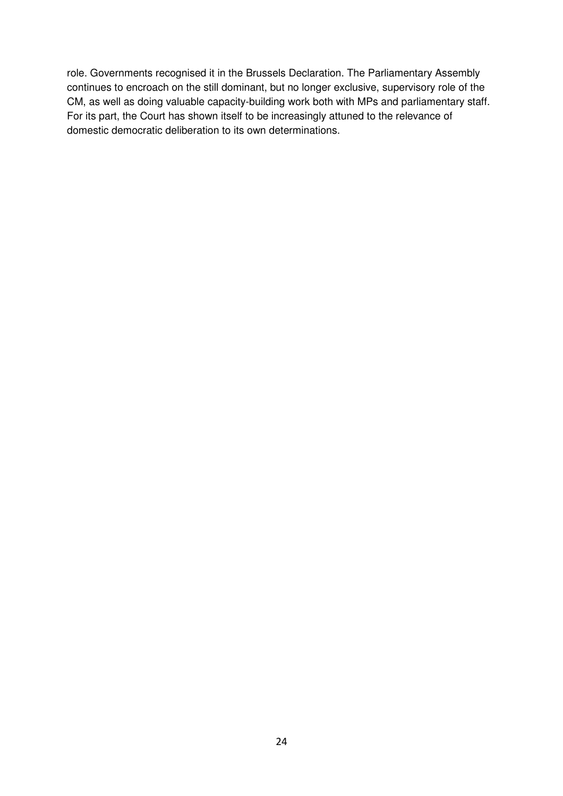role. Governments recognised it in the Brussels Declaration. The Parliamentary Assembly continues to encroach on the still dominant, but no longer exclusive, supervisory role of the CM, as well as doing valuable capacity-building work both with MPs and parliamentary staff. For its part, the Court has shown itself to be increasingly attuned to the relevance of domestic democratic deliberation to its own determinations.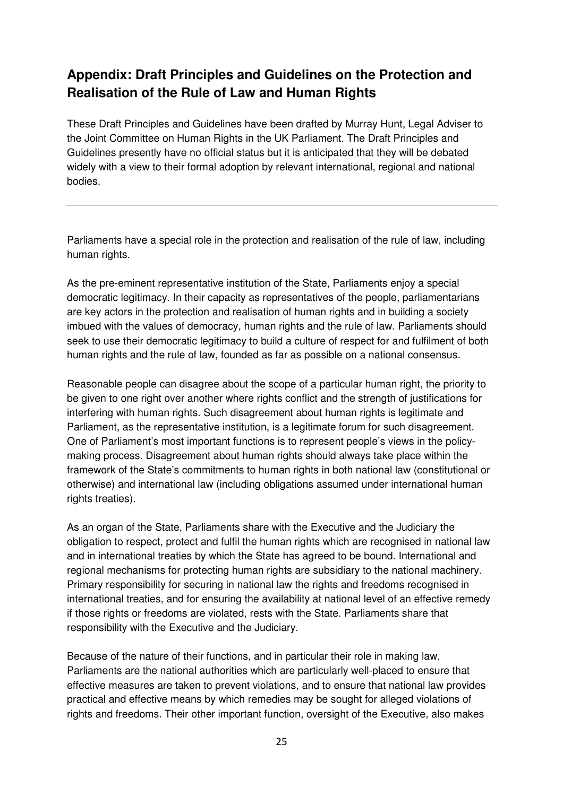# **Appendix: Draft Principles and Guidelines on the Protection and Realisation of the Rule of Law and Human Rights**

These Draft Principles and Guidelines have been drafted by Murray Hunt, Legal Adviser to the Joint Committee on Human Rights in the UK Parliament. The Draft Principles and Guidelines presently have no official status but it is anticipated that they will be debated widely with a view to their formal adoption by relevant international, regional and national bodies.

Parliaments have a special role in the protection and realisation of the rule of law, including human rights.

As the pre-eminent representative institution of the State, Parliaments enjoy a special democratic legitimacy. In their capacity as representatives of the people, parliamentarians are key actors in the protection and realisation of human rights and in building a society imbued with the values of democracy, human rights and the rule of law. Parliaments should seek to use their democratic legitimacy to build a culture of respect for and fulfilment of both human rights and the rule of law, founded as far as possible on a national consensus.

Reasonable people can disagree about the scope of a particular human right, the priority to be given to one right over another where rights conflict and the strength of justifications for interfering with human rights. Such disagreement about human rights is legitimate and Parliament, as the representative institution, is a legitimate forum for such disagreement. One of Parliament's most important functions is to represent people's views in the policymaking process. Disagreement about human rights should always take place within the framework of the State's commitments to human rights in both national law (constitutional or otherwise) and international law (including obligations assumed under international human rights treaties).

As an organ of the State, Parliaments share with the Executive and the Judiciary the obligation to respect, protect and fulfil the human rights which are recognised in national law and in international treaties by which the State has agreed to be bound. International and regional mechanisms for protecting human rights are subsidiary to the national machinery. Primary responsibility for securing in national law the rights and freedoms recognised in international treaties, and for ensuring the availability at national level of an effective remedy if those rights or freedoms are violated, rests with the State. Parliaments share that responsibility with the Executive and the Judiciary.

Because of the nature of their functions, and in particular their role in making law, Parliaments are the national authorities which are particularly well-placed to ensure that effective measures are taken to prevent violations, and to ensure that national law provides practical and effective means by which remedies may be sought for alleged violations of rights and freedoms. Their other important function, oversight of the Executive, also makes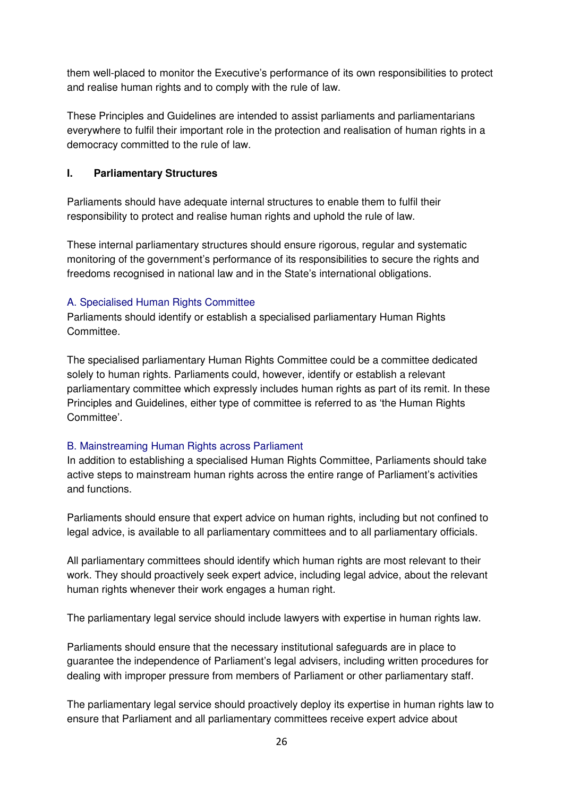them well-placed to monitor the Executive's performance of its own responsibilities to protect and realise human rights and to comply with the rule of law.

These Principles and Guidelines are intended to assist parliaments and parliamentarians everywhere to fulfil their important role in the protection and realisation of human rights in a democracy committed to the rule of law.

#### **I. Parliamentary Structures**

Parliaments should have adequate internal structures to enable them to fulfil their responsibility to protect and realise human rights and uphold the rule of law.

These internal parliamentary structures should ensure rigorous, regular and systematic monitoring of the government's performance of its responsibilities to secure the rights and freedoms recognised in national law and in the State's international obligations.

# A. Specialised Human Rights Committee

Parliaments should identify or establish a specialised parliamentary Human Rights Committee.

The specialised parliamentary Human Rights Committee could be a committee dedicated solely to human rights. Parliaments could, however, identify or establish a relevant parliamentary committee which expressly includes human rights as part of its remit. In these Principles and Guidelines, either type of committee is referred to as 'the Human Rights Committee'.

# B. Mainstreaming Human Rights across Parliament

In addition to establishing a specialised Human Rights Committee, Parliaments should take active steps to mainstream human rights across the entire range of Parliament's activities and functions.

Parliaments should ensure that expert advice on human rights, including but not confined to legal advice, is available to all parliamentary committees and to all parliamentary officials.

All parliamentary committees should identify which human rights are most relevant to their work. They should proactively seek expert advice, including legal advice, about the relevant human rights whenever their work engages a human right.

The parliamentary legal service should include lawyers with expertise in human rights law.

Parliaments should ensure that the necessary institutional safeguards are in place to guarantee the independence of Parliament's legal advisers, including written procedures for dealing with improper pressure from members of Parliament or other parliamentary staff.

The parliamentary legal service should proactively deploy its expertise in human rights law to ensure that Parliament and all parliamentary committees receive expert advice about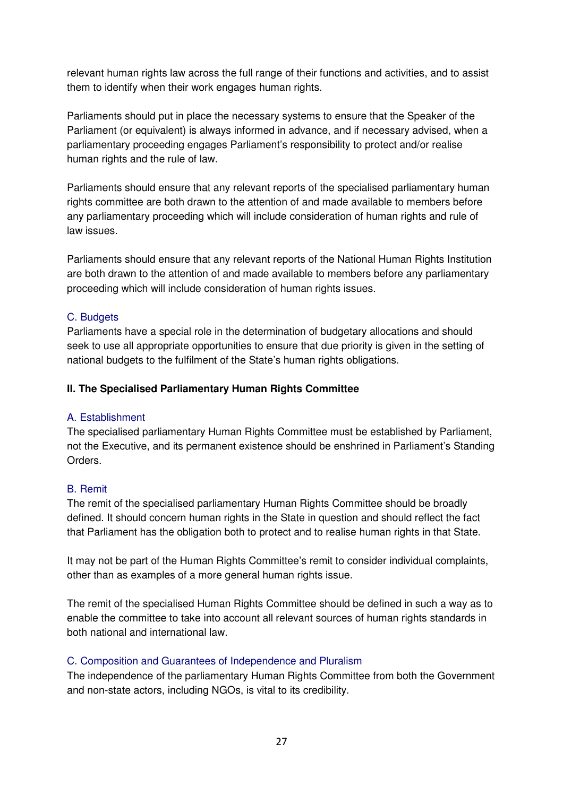relevant human rights law across the full range of their functions and activities, and to assist them to identify when their work engages human rights.

Parliaments should put in place the necessary systems to ensure that the Speaker of the Parliament (or equivalent) is always informed in advance, and if necessary advised, when a parliamentary proceeding engages Parliament's responsibility to protect and/or realise human rights and the rule of law.

Parliaments should ensure that any relevant reports of the specialised parliamentary human rights committee are both drawn to the attention of and made available to members before any parliamentary proceeding which will include consideration of human rights and rule of law issues.

Parliaments should ensure that any relevant reports of the National Human Rights Institution are both drawn to the attention of and made available to members before any parliamentary proceeding which will include consideration of human rights issues.

# C. Budgets

Parliaments have a special role in the determination of budgetary allocations and should seek to use all appropriate opportunities to ensure that due priority is given in the setting of national budgets to the fulfilment of the State's human rights obligations.

# **II. The Specialised Parliamentary Human Rights Committee**

#### A. Establishment

The specialised parliamentary Human Rights Committee must be established by Parliament, not the Executive, and its permanent existence should be enshrined in Parliament's Standing Orders.

#### B. Remit

The remit of the specialised parliamentary Human Rights Committee should be broadly defined. It should concern human rights in the State in question and should reflect the fact that Parliament has the obligation both to protect and to realise human rights in that State.

It may not be part of the Human Rights Committee's remit to consider individual complaints, other than as examples of a more general human rights issue.

The remit of the specialised Human Rights Committee should be defined in such a way as to enable the committee to take into account all relevant sources of human rights standards in both national and international law.

#### C. Composition and Guarantees of Independence and Pluralism

The independence of the parliamentary Human Rights Committee from both the Government and non-state actors, including NGOs, is vital to its credibility.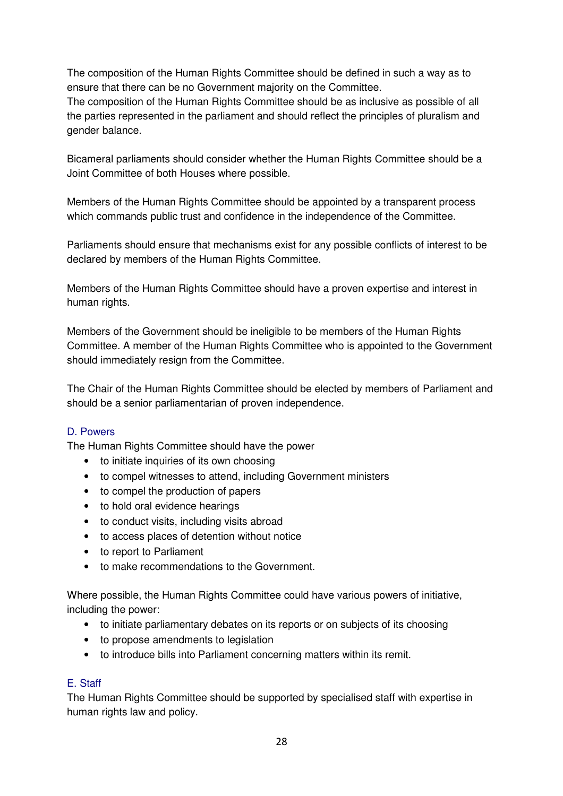The composition of the Human Rights Committee should be defined in such a way as to ensure that there can be no Government majority on the Committee.

The composition of the Human Rights Committee should be as inclusive as possible of all the parties represented in the parliament and should reflect the principles of pluralism and gender balance.

Bicameral parliaments should consider whether the Human Rights Committee should be a Joint Committee of both Houses where possible.

Members of the Human Rights Committee should be appointed by a transparent process which commands public trust and confidence in the independence of the Committee.

Parliaments should ensure that mechanisms exist for any possible conflicts of interest to be declared by members of the Human Rights Committee.

Members of the Human Rights Committee should have a proven expertise and interest in human rights.

Members of the Government should be ineligible to be members of the Human Rights Committee. A member of the Human Rights Committee who is appointed to the Government should immediately resign from the Committee.

The Chair of the Human Rights Committee should be elected by members of Parliament and should be a senior parliamentarian of proven independence.

# D. Powers

The Human Rights Committee should have the power

- to initiate inquiries of its own choosing
- to compel witnesses to attend, including Government ministers
- to compel the production of papers
- to hold oral evidence hearings
- to conduct visits, including visits abroad
- to access places of detention without notice
- to report to Parliament
- to make recommendations to the Government.

Where possible, the Human Rights Committee could have various powers of initiative, including the power:

- to initiate parliamentary debates on its reports or on subjects of its choosing
- to propose amendments to legislation
- to introduce bills into Parliament concerning matters within its remit.

#### E. Staff

The Human Rights Committee should be supported by specialised staff with expertise in human rights law and policy.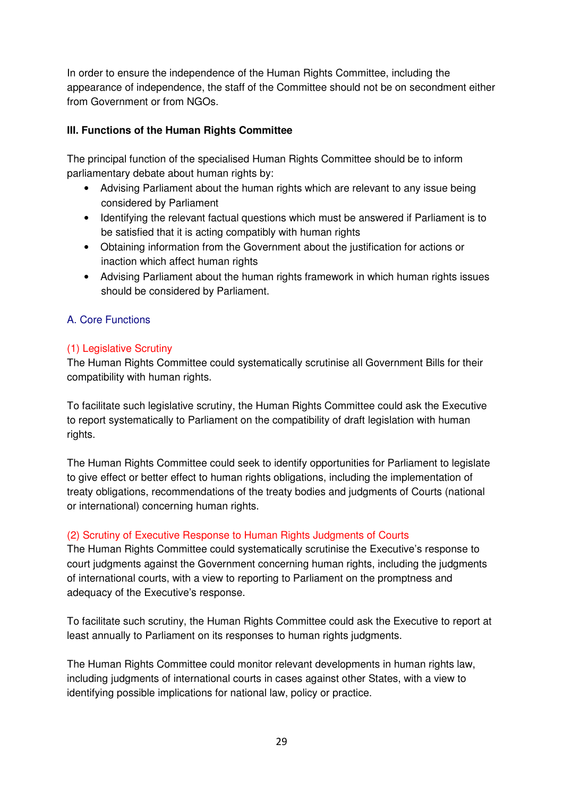In order to ensure the independence of the Human Rights Committee, including the appearance of independence, the staff of the Committee should not be on secondment either from Government or from NGOs.

# **III. Functions of the Human Rights Committee**

The principal function of the specialised Human Rights Committee should be to inform parliamentary debate about human rights by:

- Advising Parliament about the human rights which are relevant to any issue being considered by Parliament
- Identifying the relevant factual questions which must be answered if Parliament is to be satisfied that it is acting compatibly with human rights
- Obtaining information from the Government about the justification for actions or inaction which affect human rights
- Advising Parliament about the human rights framework in which human rights issues should be considered by Parliament.

# A. Core Functions

#### (1) Legislative Scrutiny

The Human Rights Committee could systematically scrutinise all Government Bills for their compatibility with human rights.

To facilitate such legislative scrutiny, the Human Rights Committee could ask the Executive to report systematically to Parliament on the compatibility of draft legislation with human rights.

The Human Rights Committee could seek to identify opportunities for Parliament to legislate to give effect or better effect to human rights obligations, including the implementation of treaty obligations, recommendations of the treaty bodies and judgments of Courts (national or international) concerning human rights.

#### (2) Scrutiny of Executive Response to Human Rights Judgments of Courts

The Human Rights Committee could systematically scrutinise the Executive's response to court judgments against the Government concerning human rights, including the judgments of international courts, with a view to reporting to Parliament on the promptness and adequacy of the Executive's response.

To facilitate such scrutiny, the Human Rights Committee could ask the Executive to report at least annually to Parliament on its responses to human rights judgments.

The Human Rights Committee could monitor relevant developments in human rights law, including judgments of international courts in cases against other States, with a view to identifying possible implications for national law, policy or practice.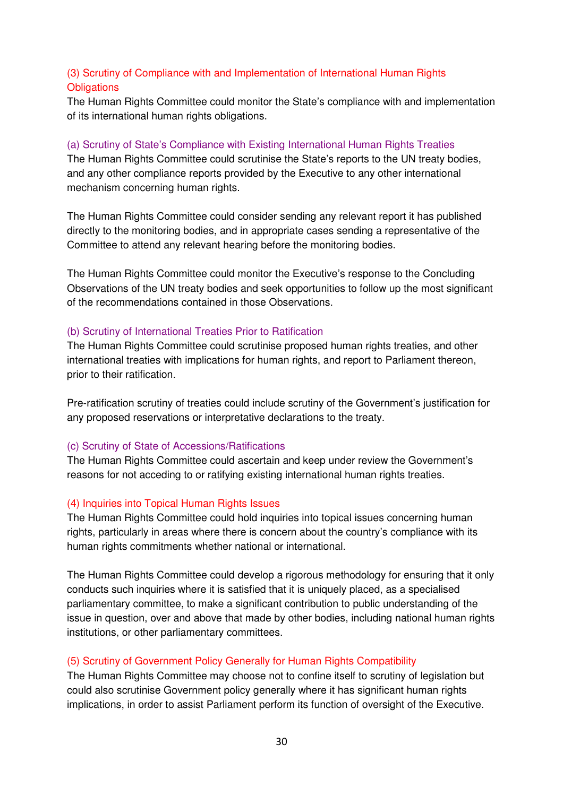# (3) Scrutiny of Compliance with and Implementation of International Human Rights **Obligations**

The Human Rights Committee could monitor the State's compliance with and implementation of its international human rights obligations.

## (a) Scrutiny of State's Compliance with Existing International Human Rights Treaties

The Human Rights Committee could scrutinise the State's reports to the UN treaty bodies, and any other compliance reports provided by the Executive to any other international mechanism concerning human rights.

The Human Rights Committee could consider sending any relevant report it has published directly to the monitoring bodies, and in appropriate cases sending a representative of the Committee to attend any relevant hearing before the monitoring bodies.

The Human Rights Committee could monitor the Executive's response to the Concluding Observations of the UN treaty bodies and seek opportunities to follow up the most significant of the recommendations contained in those Observations.

#### (b) Scrutiny of International Treaties Prior to Ratification

The Human Rights Committee could scrutinise proposed human rights treaties, and other international treaties with implications for human rights, and report to Parliament thereon, prior to their ratification.

Pre-ratification scrutiny of treaties could include scrutiny of the Government's justification for any proposed reservations or interpretative declarations to the treaty.

#### (c) Scrutiny of State of Accessions/Ratifications

The Human Rights Committee could ascertain and keep under review the Government's reasons for not acceding to or ratifying existing international human rights treaties.

#### (4) Inquiries into Topical Human Rights Issues

The Human Rights Committee could hold inquiries into topical issues concerning human rights, particularly in areas where there is concern about the country's compliance with its human rights commitments whether national or international.

The Human Rights Committee could develop a rigorous methodology for ensuring that it only conducts such inquiries where it is satisfied that it is uniquely placed, as a specialised parliamentary committee, to make a significant contribution to public understanding of the issue in question, over and above that made by other bodies, including national human rights institutions, or other parliamentary committees.

#### (5) Scrutiny of Government Policy Generally for Human Rights Compatibility

The Human Rights Committee may choose not to confine itself to scrutiny of legislation but could also scrutinise Government policy generally where it has significant human rights implications, in order to assist Parliament perform its function of oversight of the Executive.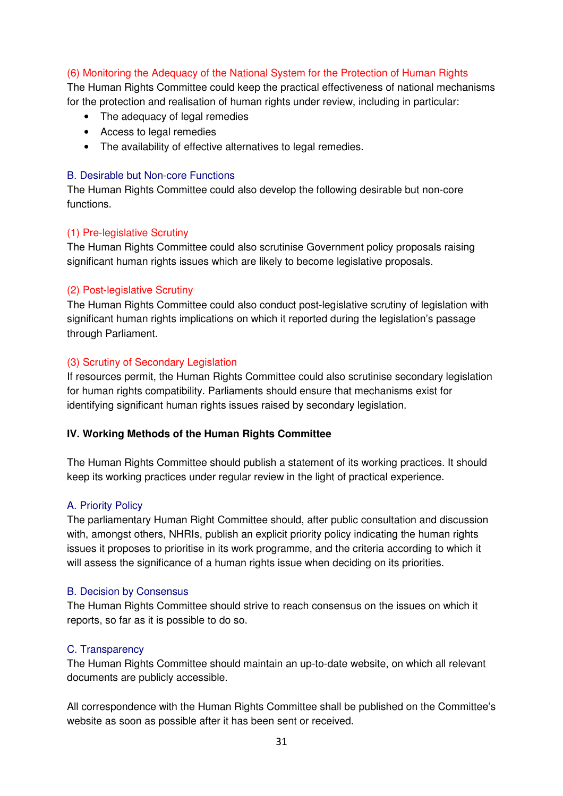# (6) Monitoring the Adequacy of the National System for the Protection of Human Rights

The Human Rights Committee could keep the practical effectiveness of national mechanisms for the protection and realisation of human rights under review, including in particular:

- The adequacy of legal remedies
- Access to legal remedies
- The availability of effective alternatives to legal remedies.

#### B. Desirable but Non-core Functions

The Human Rights Committee could also develop the following desirable but non-core functions.

#### (1) Pre-legislative Scrutiny

The Human Rights Committee could also scrutinise Government policy proposals raising significant human rights issues which are likely to become legislative proposals.

#### (2) Post-legislative Scrutiny

The Human Rights Committee could also conduct post-legislative scrutiny of legislation with significant human rights implications on which it reported during the legislation's passage through Parliament.

#### (3) Scrutiny of Secondary Legislation

If resources permit, the Human Rights Committee could also scrutinise secondary legislation for human rights compatibility. Parliaments should ensure that mechanisms exist for identifying significant human rights issues raised by secondary legislation.

#### **IV. Working Methods of the Human Rights Committee**

The Human Rights Committee should publish a statement of its working practices. It should keep its working practices under regular review in the light of practical experience.

#### A. Priority Policy

The parliamentary Human Right Committee should, after public consultation and discussion with, amongst others, NHRIs, publish an explicit priority policy indicating the human rights issues it proposes to prioritise in its work programme, and the criteria according to which it will assess the significance of a human rights issue when deciding on its priorities.

#### B. Decision by Consensus

The Human Rights Committee should strive to reach consensus on the issues on which it reports, so far as it is possible to do so.

#### C. Transparency

The Human Rights Committee should maintain an up-to-date website, on which all relevant documents are publicly accessible.

All correspondence with the Human Rights Committee shall be published on the Committee's website as soon as possible after it has been sent or received.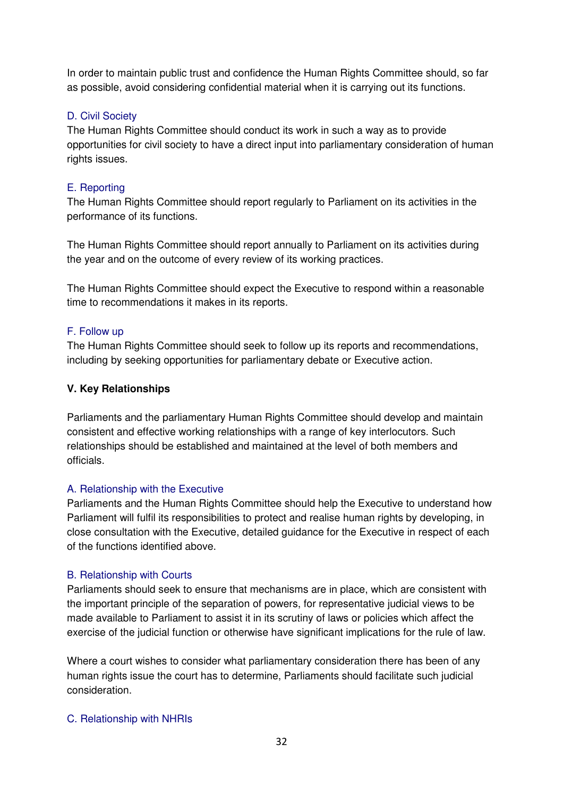In order to maintain public trust and confidence the Human Rights Committee should, so far as possible, avoid considering confidential material when it is carrying out its functions.

# D. Civil Society

The Human Rights Committee should conduct its work in such a way as to provide opportunities for civil society to have a direct input into parliamentary consideration of human rights issues.

## E. Reporting

The Human Rights Committee should report regularly to Parliament on its activities in the performance of its functions.

The Human Rights Committee should report annually to Parliament on its activities during the year and on the outcome of every review of its working practices.

The Human Rights Committee should expect the Executive to respond within a reasonable time to recommendations it makes in its reports.

# F. Follow up

The Human Rights Committee should seek to follow up its reports and recommendations, including by seeking opportunities for parliamentary debate or Executive action.

#### **V. Key Relationships**

Parliaments and the parliamentary Human Rights Committee should develop and maintain consistent and effective working relationships with a range of key interlocutors. Such relationships should be established and maintained at the level of both members and officials.

#### A. Relationship with the Executive

Parliaments and the Human Rights Committee should help the Executive to understand how Parliament will fulfil its responsibilities to protect and realise human rights by developing, in close consultation with the Executive, detailed guidance for the Executive in respect of each of the functions identified above.

#### B. Relationship with Courts

Parliaments should seek to ensure that mechanisms are in place, which are consistent with the important principle of the separation of powers, for representative judicial views to be made available to Parliament to assist it in its scrutiny of laws or policies which affect the exercise of the judicial function or otherwise have significant implications for the rule of law.

Where a court wishes to consider what parliamentary consideration there has been of any human rights issue the court has to determine, Parliaments should facilitate such judicial consideration.

# C. Relationship with NHRIs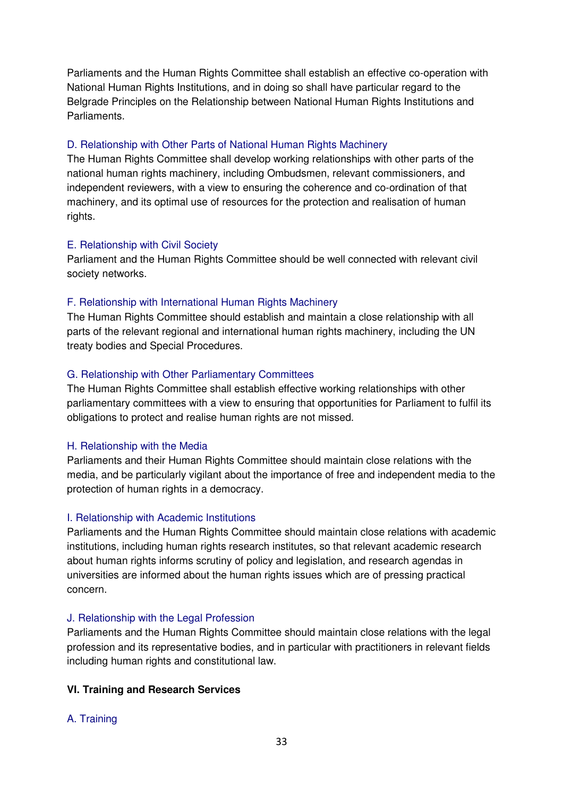Parliaments and the Human Rights Committee shall establish an effective co-operation with National Human Rights Institutions, and in doing so shall have particular regard to the Belgrade Principles on the Relationship between National Human Rights Institutions and Parliaments.

#### D. Relationship with Other Parts of National Human Rights Machinery

The Human Rights Committee shall develop working relationships with other parts of the national human rights machinery, including Ombudsmen, relevant commissioners, and independent reviewers, with a view to ensuring the coherence and co-ordination of that machinery, and its optimal use of resources for the protection and realisation of human rights.

#### E. Relationship with Civil Society

Parliament and the Human Rights Committee should be well connected with relevant civil society networks.

#### F. Relationship with International Human Rights Machinery

The Human Rights Committee should establish and maintain a close relationship with all parts of the relevant regional and international human rights machinery, including the UN treaty bodies and Special Procedures.

#### G. Relationship with Other Parliamentary Committees

The Human Rights Committee shall establish effective working relationships with other parliamentary committees with a view to ensuring that opportunities for Parliament to fulfil its obligations to protect and realise human rights are not missed.

#### H. Relationship with the Media

Parliaments and their Human Rights Committee should maintain close relations with the media, and be particularly vigilant about the importance of free and independent media to the protection of human rights in a democracy.

#### I. Relationship with Academic Institutions

Parliaments and the Human Rights Committee should maintain close relations with academic institutions, including human rights research institutes, so that relevant academic research about human rights informs scrutiny of policy and legislation, and research agendas in universities are informed about the human rights issues which are of pressing practical concern.

#### J. Relationship with the Legal Profession

Parliaments and the Human Rights Committee should maintain close relations with the legal profession and its representative bodies, and in particular with practitioners in relevant fields including human rights and constitutional law.

#### **VI. Training and Research Services**

#### A. Training